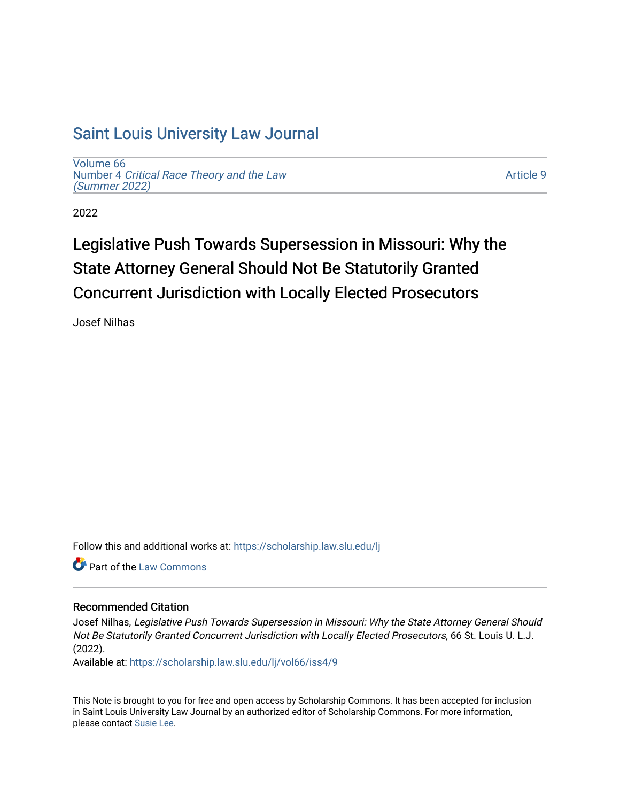# [Saint Louis University Law Journal](https://scholarship.law.slu.edu/lj)

[Volume 66](https://scholarship.law.slu.edu/lj/vol66) Number 4 [Critical Race Theory and the Law](https://scholarship.law.slu.edu/lj/vol66/iss4)  [\(Summer 2022\)](https://scholarship.law.slu.edu/lj/vol66/iss4)

[Article 9](https://scholarship.law.slu.edu/lj/vol66/iss4/9) 

2022

# Legislative Push Towards Supersession in Missouri: Why the State Attorney General Should Not Be Statutorily Granted Concurrent Jurisdiction with Locally Elected Prosecutors

Josef Nilhas

Follow this and additional works at: [https://scholarship.law.slu.edu/lj](https://scholarship.law.slu.edu/lj?utm_source=scholarship.law.slu.edu%2Flj%2Fvol66%2Fiss4%2F9&utm_medium=PDF&utm_campaign=PDFCoverPages) 

**C** Part of the [Law Commons](https://network.bepress.com/hgg/discipline/578?utm_source=scholarship.law.slu.edu%2Flj%2Fvol66%2Fiss4%2F9&utm_medium=PDF&utm_campaign=PDFCoverPages)

# Recommended Citation

Josef Nilhas, Legislative Push Towards Supersession in Missouri: Why the State Attorney General Should Not Be Statutorily Granted Concurrent Jurisdiction with Locally Elected Prosecutors, 66 St. Louis U. L.J. (2022).

Available at: [https://scholarship.law.slu.edu/lj/vol66/iss4/9](https://scholarship.law.slu.edu/lj/vol66/iss4/9?utm_source=scholarship.law.slu.edu%2Flj%2Fvol66%2Fiss4%2F9&utm_medium=PDF&utm_campaign=PDFCoverPages) 

This Note is brought to you for free and open access by Scholarship Commons. It has been accepted for inclusion in Saint Louis University Law Journal by an authorized editor of Scholarship Commons. For more information, please contact [Susie Lee.](mailto:susie.lee@slu.edu)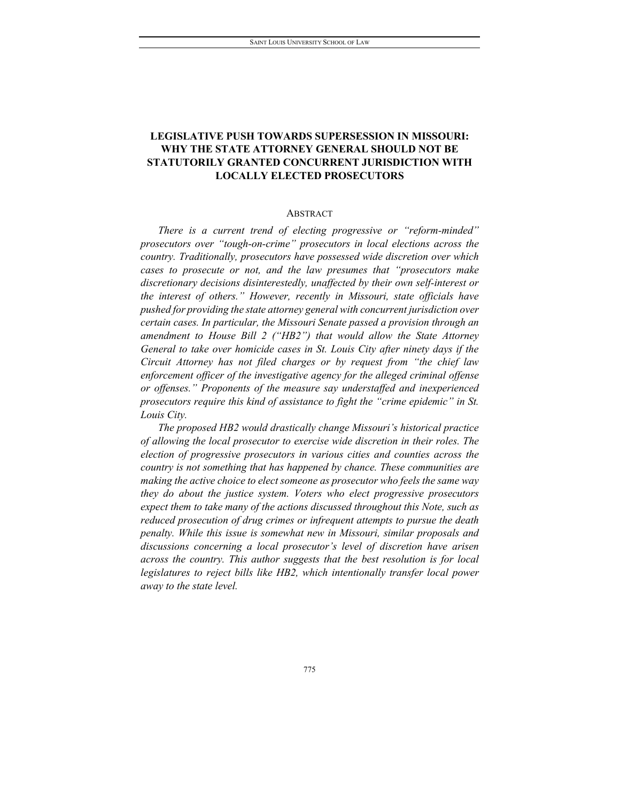# **LEGISLATIVE PUSH TOWARDS SUPERSESSION IN MISSOURI: WHY THE STATE ATTORNEY GENERAL SHOULD NOT BE STATUTORILY GRANTED CONCURRENT JURISDICTION WITH LOCALLY ELECTED PROSECUTORS**

#### ABSTRACT

*There is a current trend of electing progressive or "reform-minded" prosecutors over "tough-on-crime" prosecutors in local elections across the country. Traditionally, prosecutors have possessed wide discretion over which cases to prosecute or not, and the law presumes that "prosecutors make discretionary decisions disinterestedly, unaffected by their own self-interest or the interest of others." However, recently in Missouri, state officials have pushed for providing the state attorney general with concurrent jurisdiction over certain cases. In particular, the Missouri Senate passed a provision through an amendment to House Bill 2 ("HB2") that would allow the State Attorney General to take over homicide cases in St. Louis City after ninety days if the Circuit Attorney has not filed charges or by request from "the chief law enforcement officer of the investigative agency for the alleged criminal offense or offenses." Proponents of the measure say understaffed and inexperienced prosecutors require this kind of assistance to fight the "crime epidemic" in St. Louis City.* 

*The proposed HB2 would drastically change Missouri's historical practice of allowing the local prosecutor to exercise wide discretion in their roles. The election of progressive prosecutors in various cities and counties across the country is not something that has happened by chance. These communities are making the active choice to elect someone as prosecutor who feels the same way they do about the justice system. Voters who elect progressive prosecutors expect them to take many of the actions discussed throughout this Note, such as reduced prosecution of drug crimes or infrequent attempts to pursue the death penalty. While this issue is somewhat new in Missouri, similar proposals and discussions concerning a local prosecutor's level of discretion have arisen across the country. This author suggests that the best resolution is for local legislatures to reject bills like HB2, which intentionally transfer local power away to the state level.*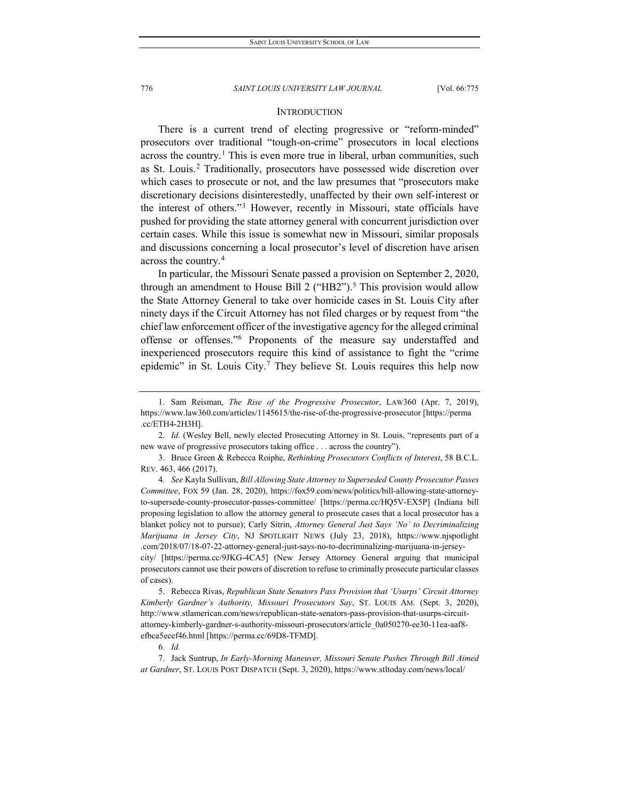#### **INTRODUCTION**

There is a current trend of electing progressive or "reform-minded" prosecutors over traditional "tough-on-crime" prosecutors in local elections across the country.<sup>[1](#page-2-0)</sup> This is even more true in liberal, urban communities, such as St. Louis.[2](#page-2-1) Traditionally, prosecutors have possessed wide discretion over which cases to prosecute or not, and the law presumes that "prosecutors make discretionary decisions disinterestedly, unaffected by their own self-interest or the interest of others."[3](#page-2-2) However, recently in Missouri, state officials have pushed for providing the state attorney general with concurrent jurisdiction over certain cases. While this issue is somewhat new in Missouri, similar proposals and discussions concerning a local prosecutor's level of discretion have arisen across the country.[4](#page-2-3)

In particular, the Missouri Senate passed a provision on September 2, 2020, through an amendment to House Bill 2 ("HB2").<sup>[5](#page-2-4)</sup> This provision would allow the State Attorney General to take over homicide cases in St. Louis City after ninety days if the Circuit Attorney has not filed charges or by request from "the chief law enforcement officer of the investigative agency for the alleged criminal offense or offenses."[6](#page-2-5) Proponents of the measure say understaffed and inexperienced prosecutors require this kind of assistance to fight the "crime epidemic" in St. Louis City.<sup>[7](#page-2-6)</sup> They believe St. Louis requires this help now

<span id="page-2-4"></span>5. Rebecca Rivas, *Republican State Senators Pass Provision that 'Usurps' Circuit Attorney Kimberly Gardner's Authority, Missouri Prosecutors Say*, ST. LOUIS AM. (Sept. 3, 2020), http://www.stlamerican.com/news/republican-state-senators-pass-provision-that-usurps-circuitattorney-kimberly-gardner-s-authority-missouri-prosecutors/article\_0a050270-ee30-11ea-aaf8 efbca5ecef46.html [https://perma.cc/69D8-TFMD].

6*. Id.*

<span id="page-2-6"></span><span id="page-2-5"></span>7. Jack Suntrup, *In Early-Morning Maneuver, Missouri Senate Pushes Through Bill Aimed at Gardner*, ST. LOUIS POST DISPATCH (Sept. 3, 2020), https://www.stltoday.com/news/local/

<span id="page-2-0"></span><sup>1.</sup> Sam Reisman, *The Rise of the Progressive Prosecutor*, LAW360 (Apr. 7, 2019), https://www.law360.com/articles/1145615/the-rise-of-the-progressive-prosecutor [https://perma .cc/ETH4-2H3H].

<span id="page-2-1"></span><sup>2</sup>*. Id.* (Wesley Bell, newly elected Prosecuting Attorney in St. Louis, "represents part of a new wave of progressive prosecutors taking office . . . across the country").

<span id="page-2-2"></span><sup>3.</sup> Bruce Green & Rebecca Roiphe, *Rethinking Prosecutors Conflicts of Interest*, 58 B.C.L. REV. 463, 466 (2017).

<span id="page-2-3"></span><sup>4</sup>*. See* Kayla Sullivan, *Bill Allowing State Attorney to Superseded County Prosecutor Passes Committee*, FOX 59 (Jan. 28, 2020), https://fox59.com/news/politics/bill-allowing-state-attorneyto-supersede-county-prosecutor-passes-committee/ [https://perma.cc/HQ5V-EX5P] (Indiana bill proposing legislation to allow the attorney general to prosecute cases that a local prosecutor has a blanket policy not to pursue); Carly Sitrin, *Attorney General Just Says 'No' to Decriminalizing Marijuana in Jersey City*, NJ SPOTLIGHT NEWS (July 23, 2018), https://www.njspotlight .com/2018/07/18-07-22-attorney-general-just-says-no-to-decriminalizing-marijuana-in-jerseycity/ [https://perma.cc/9JKG-4CA5] (New Jersey Attorney General arguing that municipal prosecutors cannot use their powers of discretion to refuse to criminally prosecute particular classes of cases).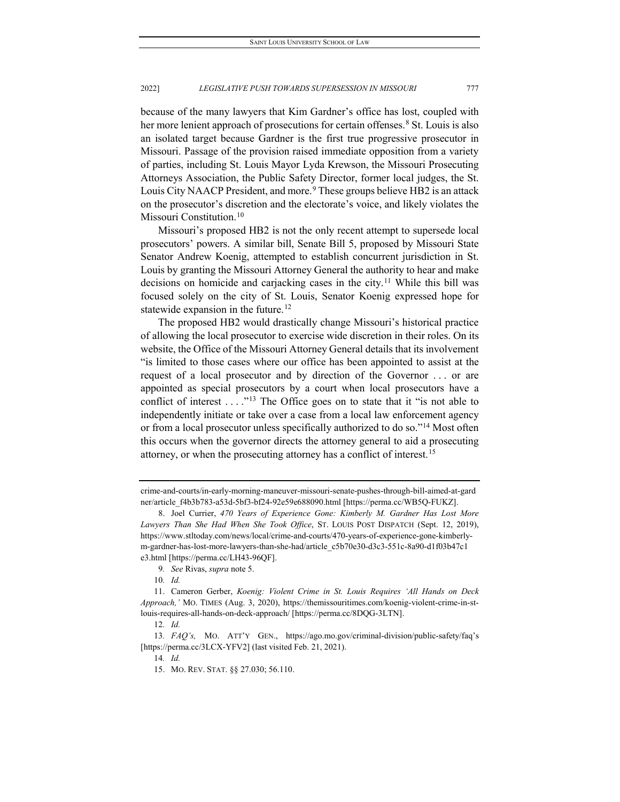because of the many lawyers that Kim Gardner's office has lost, coupled with her more lenient approach of prosecutions for certain offenses.<sup>[8](#page-3-0)</sup> St. Louis is also an isolated target because Gardner is the first true progressive prosecutor in Missouri. Passage of the provision raised immediate opposition from a variety of parties, including St. Louis Mayor Lyda Krewson, the Missouri Prosecuting Attorneys Association, the Public Safety Director, former local judges, the St. Louis City NAACP President, and more.<sup>[9](#page-3-1)</sup> These groups believe HB2 is an attack on the prosecutor's discretion and the electorate's voice, and likely violates the Missouri Constitution.<sup>[10](#page-3-2)</sup>

Missouri's proposed HB2 is not the only recent attempt to supersede local prosecutors' powers. A similar bill, Senate Bill 5, proposed by Missouri State Senator Andrew Koenig, attempted to establish concurrent jurisdiction in St. Louis by granting the Missouri Attorney General the authority to hear and make decisions on homicide and carjacking cases in the city.<sup>[11](#page-3-3)</sup> While this bill was focused solely on the city of St. Louis, Senator Koenig expressed hope for statewide expansion in the future.<sup>[12](#page-3-4)</sup>

The proposed HB2 would drastically change Missouri's historical practice of allowing the local prosecutor to exercise wide discretion in their roles. On its website, the Office of the Missouri Attorney General details that its involvement "is limited to those cases where our office has been appointed to assist at the request of a local prosecutor and by direction of the Governor . . . or are appointed as special prosecutors by a court when local prosecutors have a conflict of interest  $\dots$ ."<sup>[13](#page-3-5)</sup> The Office goes on to state that it "is not able to independently initiate or take over a case from a local law enforcement agency or from a local prosecutor unless specifically authorized to do so."[14](#page-3-6) Most often this occurs when the governor directs the attorney general to aid a prosecuting attorney, or when the prosecuting attorney has a conflict of interest[.15](#page-3-7)

crime-and-courts/in-early-morning-maneuver-missouri-senate-pushes-through-bill-aimed-at-gard ner/article\_f4b3b783-a53d-5bf3-bf24-92e59e688090.html [https://perma.cc/WB5Q-FUKZ].

<span id="page-3-0"></span><sup>8.</sup> Joel Currier, *470 Years of Experience Gone: Kimberly M. Gardner Has Lost More Lawyers Than She Had When She Took Office*, ST. LOUIS POST DISPATCH (Sept. 12, 2019), https://www.stltoday.com/news/local/crime-and-courts/470-years-of-experience-gone-kimberlym-gardner-has-lost-more-lawyers-than-she-had/article\_c5b70e30-d3c3-551c-8a90-d1f03b47c1 e3.html [https://perma.cc/LH43-96QF].

<sup>9</sup>*. See* Rivas, *supra* note 5.

<sup>10</sup>*. Id.*

<span id="page-3-3"></span><span id="page-3-2"></span><span id="page-3-1"></span><sup>11.</sup> Cameron Gerber, *Koenig: Violent Crime in St. Louis Requires 'All Hands on Deck Approach,'* MO. TIMES (Aug. 3, 2020), https://themissouritimes.com/koenig-violent-crime-in-stlouis-requires-all-hands-on-deck-approach/ [https://perma.cc/8DQG-3LTN].

<sup>12</sup>*. Id.*

<span id="page-3-7"></span><span id="page-3-6"></span><span id="page-3-5"></span><span id="page-3-4"></span><sup>13</sup>*. FAQ's,* MO. ATT'Y GEN., https://ago.mo.gov/criminal-division/public-safety/faq's [https://perma.cc/3LCX-YFV2] (last visited Feb. 21, 2021).

<sup>14</sup>*. Id.*

<sup>15.</sup> MO. REV. STAT. §§ 27.030; 56.110.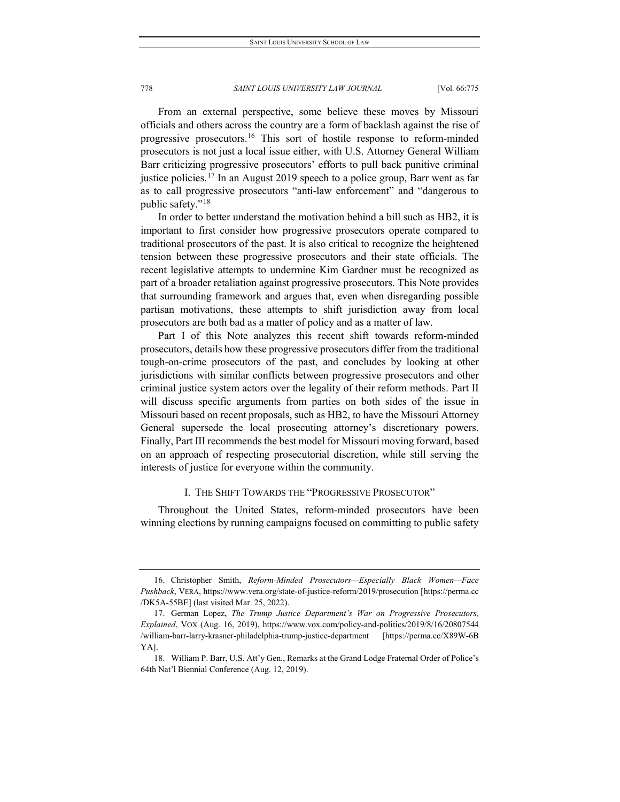From an external perspective, some believe these moves by Missouri officials and others across the country are a form of backlash against the rise of progressive prosecutors.[16](#page-4-0) This sort of hostile response to reform-minded prosecutors is not just a local issue either, with U.S. Attorney General William Barr criticizing progressive prosecutors' efforts to pull back punitive criminal justice policies.<sup>[17](#page-4-1)</sup> In an August 2019 speech to a police group, Barr went as far as to call progressive prosecutors "anti-law enforcement" and "dangerous to public safety."[18](#page-4-2)

In order to better understand the motivation behind a bill such as HB2, it is important to first consider how progressive prosecutors operate compared to traditional prosecutors of the past. It is also critical to recognize the heightened tension between these progressive prosecutors and their state officials. The recent legislative attempts to undermine Kim Gardner must be recognized as part of a broader retaliation against progressive prosecutors. This Note provides that surrounding framework and argues that, even when disregarding possible partisan motivations, these attempts to shift jurisdiction away from local prosecutors are both bad as a matter of policy and as a matter of law.

Part I of this Note analyzes this recent shift towards reform-minded prosecutors, details how these progressive prosecutors differ from the traditional tough-on-crime prosecutors of the past, and concludes by looking at other jurisdictions with similar conflicts between progressive prosecutors and other criminal justice system actors over the legality of their reform methods. Part II will discuss specific arguments from parties on both sides of the issue in Missouri based on recent proposals, such as HB2, to have the Missouri Attorney General supersede the local prosecuting attorney's discretionary powers. Finally, Part III recommends the best model for Missouri moving forward, based on an approach of respecting prosecutorial discretion, while still serving the interests of justice for everyone within the community.

#### I. THE SHIFT TOWARDS THE "PROGRESSIVE PROSECUTOR"

Throughout the United States, reform-minded prosecutors have been winning elections by running campaigns focused on committing to public safety

<span id="page-4-0"></span><sup>16.</sup> Christopher Smith, *Reform-Minded Prosecutors—Especially Black Women—Face Pushback*, VERA, https://www.vera.org/state-of-justice-reform/2019/prosecution [https://perma.cc /DK5A-55BE] (last visited Mar. 25, 2022).

<span id="page-4-1"></span><sup>17.</sup> German Lopez, *The Trump Justice Department's War on Progressive Prosecutors, Explained*, VOX (Aug. 16, 2019), https://www.vox.com/policy-and-politics/2019/8/16/20807544 /william-barr-larry-krasner-philadelphia-trump-justice-department [https://perma.cc/X89W-6B YA].

<span id="page-4-2"></span><sup>18.</sup> William P. Barr, U.S. Att'y Gen., Remarks at the Grand Lodge Fraternal Order of Police's 64th Nat'l Biennial Conference (Aug. 12, 2019).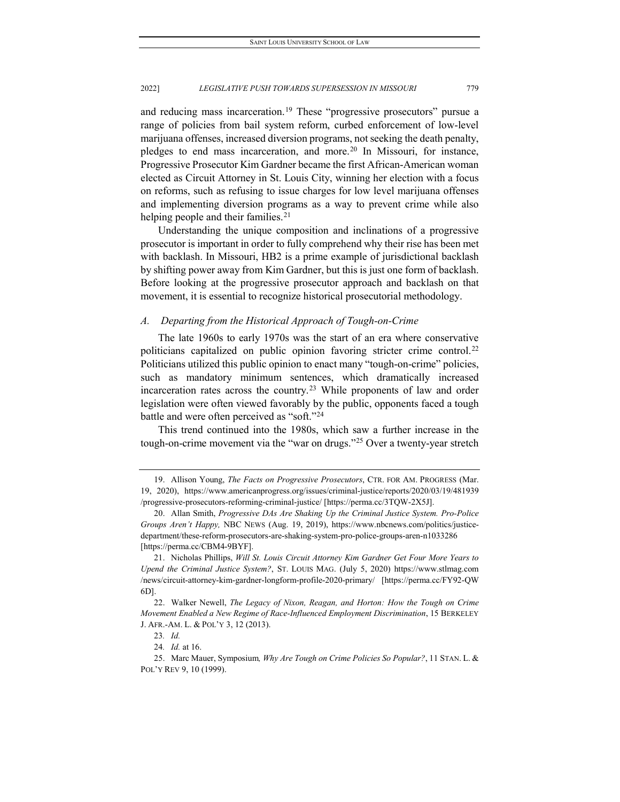and reducing mass incarceration.<sup>[19](#page-5-0)</sup> These "progressive prosecutors" pursue a range of policies from bail system reform, curbed enforcement of low-level marijuana offenses, increased diversion programs, not seeking the death penalty, pledges to end mass incarceration, and more.<sup>[20](#page-5-1)</sup> In Missouri, for instance, Progressive Prosecutor Kim Gardner became the first African-American woman elected as Circuit Attorney in St. Louis City, winning her election with a focus on reforms, such as refusing to issue charges for low level marijuana offenses and implementing diversion programs as a way to prevent crime while also helping people and their families.<sup>[21](#page-5-2)</sup>

Understanding the unique composition and inclinations of a progressive prosecutor is important in order to fully comprehend why their rise has been met with backlash. In Missouri, HB2 is a prime example of jurisdictional backlash by shifting power away from Kim Gardner, but this is just one form of backlash. Before looking at the progressive prosecutor approach and backlash on that movement, it is essential to recognize historical prosecutorial methodology.

#### *A. Departing from the Historical Approach of Tough-on-Crime*

The late 1960s to early 1970s was the start of an era where conservative politicians capitalized on public opinion favoring stricter crime control.<sup>[22](#page-5-3)</sup> Politicians utilized this public opinion to enact many "tough-on-crime" policies, such as mandatory minimum sentences, which dramatically increased incarceration rates across the country.<sup>[23](#page-5-4)</sup> While proponents of law and order legislation were often viewed favorably by the public, opponents faced a tough battle and were often perceived as "soft."<sup>[24](#page-5-5)</sup>

This trend continued into the 1980s, which saw a further increase in the tough-on-crime movement via the "war on drugs."[25](#page-5-6) Over a twenty-year stretch

<span id="page-5-0"></span><sup>19.</sup> Allison Young, *The Facts on Progressive Prosecutors*, CTR. FOR AM. PROGRESS (Mar. 19, 2020), https://www.americanprogress.org/issues/criminal-justice/reports/2020/03/19/481939 /progressive-prosecutors-reforming-criminal-justice/ [https://perma.cc/3TQW-2X5J].

<span id="page-5-1"></span><sup>20.</sup> Allan Smith, *Progressive DAs Are Shaking Up the Criminal Justice System. Pro-Police Groups Aren't Happy,* NBC NEWS (Aug. 19, 2019), https://www.nbcnews.com/politics/justicedepartment/these-reform-prosecutors-are-shaking-system-pro-police-groups-aren-n1033286 [https://perma.cc/CBM4-9BYF].

<span id="page-5-2"></span><sup>21.</sup> Nicholas Phillips, *Will St. Louis Circuit Attorney Kim Gardner Get Four More Years to Upend the Criminal Justice System?*, ST. LOUIS MAG. (July 5, 2020) https://www.stlmag.com /news/circuit-attorney-kim-gardner-longform-profile-2020-primary/ [https://perma.cc/FY92-QW 6D].

<span id="page-5-3"></span><sup>22.</sup> Walker Newell, *The Legacy of Nixon, Reagan, and Horton: How the Tough on Crime Movement Enabled a New Regime of Race-Influenced Employment Discrimination*, 15 BERKELEY J. AFR.-AM. L. & POL'Y 3, 12 (2013).

<sup>23</sup>*. Id.*

<sup>24</sup>*. Id.* at 16.

<span id="page-5-6"></span><span id="page-5-5"></span><span id="page-5-4"></span><sup>25.</sup> Marc Mauer, Symposium*, Why Are Tough on Crime Policies So Popular?*, 11 STAN. L. & POL'Y REV 9, 10 (1999).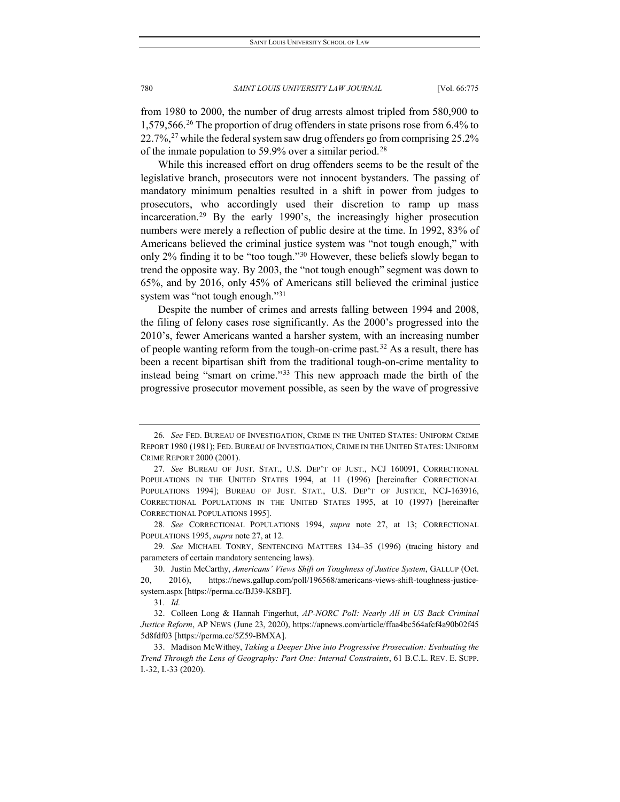from 1980 to 2000, the number of drug arrests almost tripled from 580,900 to 1,579,566.[26](#page-6-0) The proportion of drug offenders in state prisons rose from 6.4% to  $22.7\%$ <sup>[27](#page-6-1)</sup> while the federal system saw drug offenders go from comprising  $25.2\%$ of the inmate population to 59.9% over a similar period.[28](#page-6-2)

While this increased effort on drug offenders seems to be the result of the legislative branch, prosecutors were not innocent bystanders. The passing of mandatory minimum penalties resulted in a shift in power from judges to prosecutors, who accordingly used their discretion to ramp up mass incarceration.[29](#page-6-3) By the early 1990's, the increasingly higher prosecution numbers were merely a reflection of public desire at the time. In 1992, 83% of Americans believed the criminal justice system was "not tough enough," with only 2% finding it to be "too tough.["30](#page-6-4) However, these beliefs slowly began to trend the opposite way. By 2003, the "not tough enough" segment was down to 65%, and by 2016, only 45% of Americans still believed the criminal justice system was "not tough enough."[31](#page-6-5)

Despite the number of crimes and arrests falling between 1994 and 2008, the filing of felony cases rose significantly. As the 2000's progressed into the 2010's, fewer Americans wanted a harsher system, with an increasing number of people wanting reform from the tough-on-crime past.<sup>[32](#page-6-6)</sup> As a result, there has been a recent bipartisan shift from the traditional tough-on-crime mentality to instead being "smart on crime."[33](#page-6-7) This new approach made the birth of the progressive prosecutor movement possible, as seen by the wave of progressive

<span id="page-6-0"></span><sup>26</sup>*. See* FED. BUREAU OF INVESTIGATION, CRIME IN THE UNITED STATES: UNIFORM CRIME REPORT 1980 (1981); FED. BUREAU OF INVESTIGATION, CRIME IN THE UNITED STATES: UNIFORM CRIME REPORT 2000 (2001).

<span id="page-6-1"></span><sup>27</sup>*. See* BUREAU OF JUST. STAT., U.S. DEP'T OF JUST., NCJ 160091, CORRECTIONAL POPULATIONS IN THE UNITED STATES 1994, at 11 (1996) [hereinafter CORRECTIONAL POPULATIONS 1994]; BUREAU OF JUST. STAT., U.S. DEP'T OF JUSTICE, NCJ-163916, CORRECTIONAL POPULATIONS IN THE UNITED STATES 1995, at 10 (1997) [hereinafter CORRECTIONAL POPULATIONS 1995].

<span id="page-6-2"></span><sup>28</sup>*. See* CORRECTIONAL POPULATIONS 1994, *supra* note 27, at 13; CORRECTIONAL POPULATIONS 1995, *supra* note 27, at 12.

<span id="page-6-3"></span><sup>29</sup>*. See* MICHAEL TONRY, SENTENCING MATTERS 134–35 (1996) (tracing history and parameters of certain mandatory sentencing laws).

<span id="page-6-4"></span><sup>30.</sup> Justin McCarthy, *Americans' Views Shift on Toughness of Justice System*, GALLUP (Oct. 20, 2016), https://news.gallup.com/poll/196568/americans-views-shift-toughness-justicesystem.aspx [https://perma.cc/BJ39-K8BF].

<sup>31</sup>*. Id.*

<span id="page-6-6"></span><span id="page-6-5"></span><sup>32.</sup> Colleen Long & Hannah Fingerhut, *AP-NORC Poll: Nearly All in US Back Criminal Justice Reform*, AP NEWS (June 23, 2020), https://apnews.com/article/ffaa4bc564afcf4a90b02f45 5d8fdf03 [https://perma.cc/5Z59-BMXA].

<span id="page-6-7"></span><sup>33.</sup> Madison McWithey, *Taking a Deeper Dive into Progressive Prosecution: Evaluating the Trend Through the Lens of Geography: Part One: Internal Constraints*, 61 B.C.L. REV. E. SUPP. I.-32, I.-33 (2020).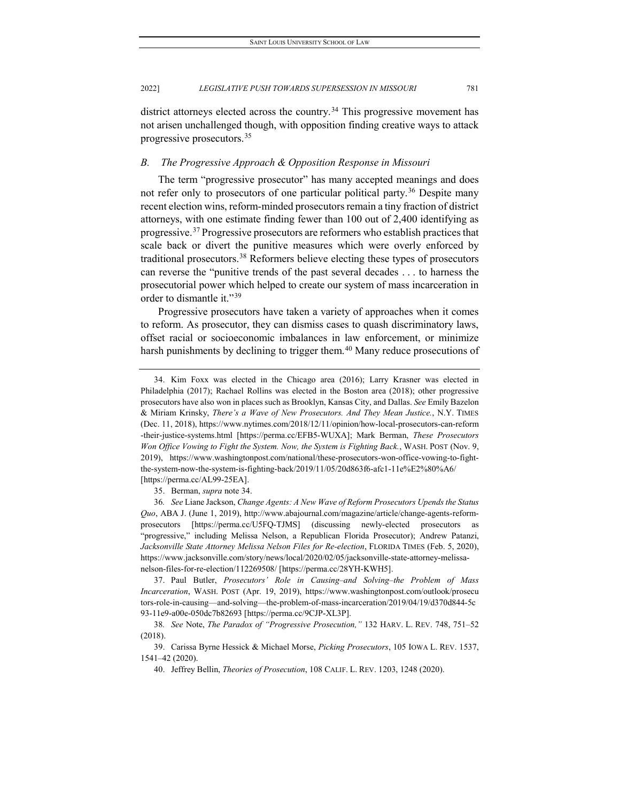district attorneys elected across the country.<sup>[34](#page-7-0)</sup> This progressive movement has not arisen unchallenged though, with opposition finding creative ways to attack progressive prosecutors.[35](#page-7-1)

#### *B. The Progressive Approach & Opposition Response in Missouri*

The term "progressive prosecutor" has many accepted meanings and does not refer only to prosecutors of one particular political party.<sup>[36](#page-7-2)</sup> Despite many recent election wins, reform-minded prosecutors remain a tiny fraction of district attorneys, with one estimate finding fewer than 100 out of 2,400 identifying as progressive.[37](#page-7-3) Progressive prosecutors are reformers who establish practices that scale back or divert the punitive measures which were overly enforced by traditional prosecutors.[38](#page-7-4) Reformers believe electing these types of prosecutors can reverse the "punitive trends of the past several decades . . . to harness the prosecutorial power which helped to create our system of mass incarceration in order to dismantle it."<sup>[39](#page-7-5)</sup>

Progressive prosecutors have taken a variety of approaches when it comes to reform. As prosecutor, they can dismiss cases to quash discriminatory laws, offset racial or socioeconomic imbalances in law enforcement, or minimize harsh punishments by declining to trigger them.<sup>[40](#page-7-6)</sup> Many reduce prosecutions of

35. Berman, *supra* note 34.

<span id="page-7-0"></span><sup>34.</sup> Kim Foxx was elected in the Chicago area (2016); Larry Krasner was elected in Philadelphia (2017); Rachael Rollins was elected in the Boston area (2018); other progressive prosecutors have also won in places such as Brooklyn, Kansas City, and Dallas. *See* Emily Bazelon & Miriam Krinsky, *There's a Wave of New Prosecutors. And They Mean Justice.*, N.Y. TIMES (Dec. 11, 2018), https://www.nytimes.com/2018/12/11/opinion/how-local-prosecutors-can-reform -their-justice-systems.html [https://perma.cc/EFB5-WUXA]; Mark Berman, *These Prosecutors Won Office Vowing to Fight the System. Now, the System is Fighting Back.*, WASH. POST (Nov. 9, 2019), https://www.washingtonpost.com/national/these-prosecutors-won-office-vowing-to-fightthe-system-now-the-system-is-fighting-back/2019/11/05/20d863f6-afc1-11e%E2%80%A6/ [https://perma.cc/AL99-25EA].

<span id="page-7-2"></span><span id="page-7-1"></span><sup>36</sup>*. See* Liane Jackson, *Change Agents: A New Wave of Reform Prosecutors Upends the Status Quo*, ABA J. (June 1, 2019), http://www.abajournal.com/magazine/article/change-agents-reformprosecutors [https://perma.cc/U5FQ-TJMS] (discussing newly-elected prosecutors as "progressive," including Melissa Nelson, a Republican Florida Prosecutor); Andrew Patanzi, *Jacksonville State Attorney Melissa Nelson Files for Re-election*, FLORIDA TIMES (Feb. 5, 2020), https://www.jacksonville.com/story/news/local/2020/02/05/jacksonville-state-attorney-melissanelson-files-for-re-election/112269508/ [https://perma.cc/28YH-KWH5].

<span id="page-7-3"></span><sup>37.</sup> Paul Butler, *Prosecutors' Role in Causing*–*and Solving*–*the Problem of Mass Incarceration*, WASH. POST (Apr. 19, 2019), https://www.washingtonpost.com/outlook/prosecu tors-role-in-causing—and-solving—the-problem-of-mass-incarceration/2019/04/19/d370d844-5c 93-11e9-a00e-050dc7b82693 [https://perma.cc/9CJP-XL3P].

<span id="page-7-4"></span><sup>38</sup>*. See* Note, *The Paradox of "Progressive Prosecution,"* 132 HARV. L. REV. 748, 751–52 (2018).

<span id="page-7-6"></span><span id="page-7-5"></span><sup>39.</sup> Carissa Byrne Hessick & Michael Morse, *Picking Prosecutors*, 105 IOWA L. REV. 1537, 1541–42 (2020).

<sup>40.</sup> Jeffrey Bellin, *Theories of Prosecution*, 108 CALIF. L. REV. 1203, 1248 (2020).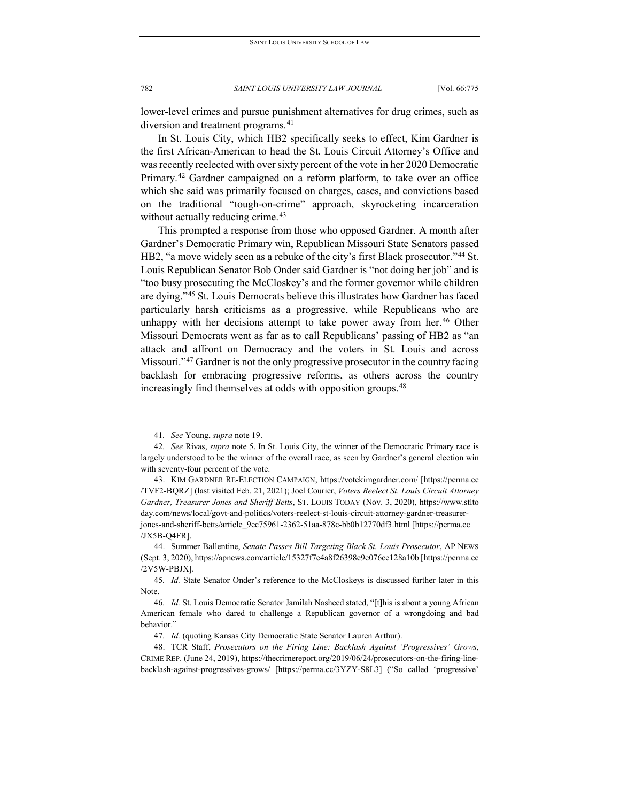lower-level crimes and pursue punishment alternatives for drug crimes, such as diversion and treatment programs.<sup>[41](#page-8-0)</sup>

In St. Louis City, which HB2 specifically seeks to effect, Kim Gardner is the first African-American to head the St. Louis Circuit Attorney's Office and was recently reelected with over sixty percent of the vote in her 2020 Democratic Primary.<sup>[42](#page-8-1)</sup> Gardner campaigned on a reform platform, to take over an office which she said was primarily focused on charges, cases, and convictions based on the traditional "tough-on-crime" approach, skyrocketing incarceration without actually reducing crime.<sup>[43](#page-8-2)</sup>

This prompted a response from those who opposed Gardner. A month after Gardner's Democratic Primary win, Republican Missouri State Senators passed HB2, "a move widely seen as a rebuke of the city's first Black prosecutor."<sup>[44](#page-8-3)</sup> St. Louis Republican Senator Bob Onder said Gardner is "not doing her job" and is "too busy prosecuting the McCloskey's and the former governor while children are dying."[45](#page-8-4) St. Louis Democrats believe this illustrates how Gardner has faced particularly harsh criticisms as a progressive, while Republicans who are unhappy with her decisions attempt to take power away from her.<sup>[46](#page-8-5)</sup> Other Missouri Democrats went as far as to call Republicans' passing of HB2 as "an attack and affront on Democracy and the voters in St. Louis and across Missouri."<sup>[47](#page-8-6)</sup> Gardner is not the only progressive prosecutor in the country facing backlash for embracing progressive reforms, as others across the country increasingly find themselves at odds with opposition groups.<sup>[48](#page-8-7)</sup>

<sup>41</sup>*. See* Young, *supra* note 19.

<span id="page-8-1"></span><span id="page-8-0"></span><sup>42</sup>*. See* Rivas, *supra* note 5. In St. Louis City, the winner of the Democratic Primary race is largely understood to be the winner of the overall race, as seen by Gardner's general election win with seventy-four percent of the vote.

<span id="page-8-2"></span><sup>43.</sup> KIM GARDNER RE-ELECTION CAMPAIGN, https://votekimgardner.com/ [https://perma.cc /TVF2-BQRZ] (last visited Feb. 21, 2021); Joel Courier, *Voters Reelect St. Louis Circuit Attorney Gardner, Treasurer Jones and Sheriff Betts*, ST. LOUIS TODAY (Nov. 3, 2020), https://www.stlto day.com/news/local/govt-and-politics/voters-reelect-st-louis-circuit-attorney-gardner-treasurerjones-and-sheriff-betts/article\_9ec75961-2362-51aa-878c-bb0b12770df3.html [https://perma.cc /JX5B-Q4FR].

<span id="page-8-3"></span><sup>44.</sup> Summer Ballentine, *Senate Passes Bill Targeting Black St. Louis Prosecutor*, AP NEWS (Sept. 3, 2020), https://apnews.com/article/15327f7c4a8f26398e9e076ce128a10b [https://perma.cc /2V5W-PBJX].

<span id="page-8-4"></span><sup>45</sup>*. Id.* State Senator Onder's reference to the McCloskeys is discussed further later in this Note.

<span id="page-8-5"></span><sup>46</sup>*. Id.* St. Louis Democratic Senator Jamilah Nasheed stated, "[t]his is about a young African American female who dared to challenge a Republican governor of a wrongdoing and bad behavior."

<sup>47</sup>*. Id.* (quoting Kansas City Democratic State Senator Lauren Arthur).

<span id="page-8-7"></span><span id="page-8-6"></span><sup>48.</sup> TCR Staff, *Prosecutors on the Firing Line: Backlash Against 'Progressives' Grows*, CRIME REP. (June 24, 2019), https://thecrimereport.org/2019/06/24/prosecutors-on-the-firing-linebacklash-against-progressives-grows/ [https://perma.cc/3YZY-S8L3] ("So called 'progressive'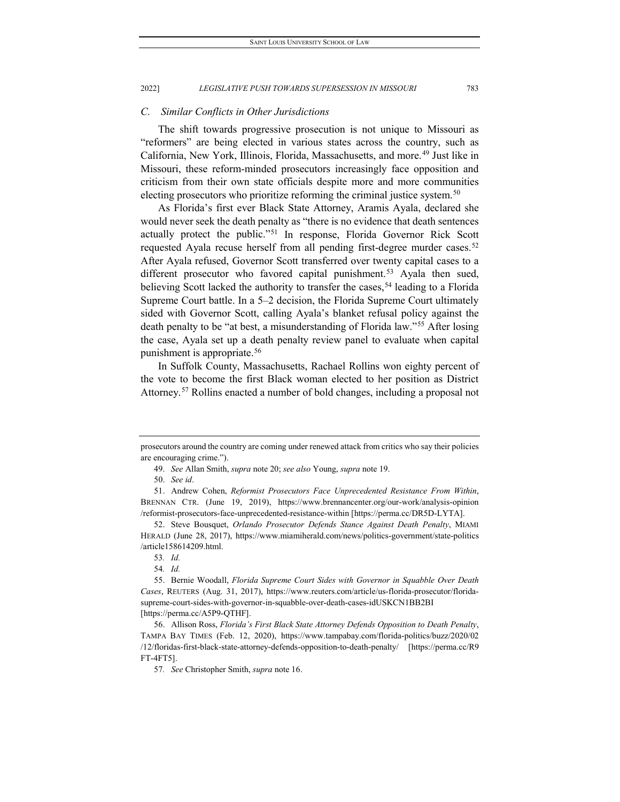#### *C. Similar Conflicts in Other Jurisdictions*

The shift towards progressive prosecution is not unique to Missouri as "reformers" are being elected in various states across the country, such as California, New York, Illinois, Florida, Massachusetts, and more.<sup>[49](#page-9-0)</sup> Just like in Missouri, these reform-minded prosecutors increasingly face opposition and criticism from their own state officials despite more and more communities electing prosecutors who prioritize reforming the criminal justice system.<sup>50</sup>

As Florida's first ever Black State Attorney, Aramis Ayala, declared she would never seek the death penalty as "there is no evidence that death sentences actually protect the public.["51](#page-9-2) In response, Florida Governor Rick Scott requested Ayala recuse herself from all pending first-degree murder cases.<sup>[52](#page-9-3)</sup> After Ayala refused, Governor Scott transferred over twenty capital cases to a different prosecutor who favored capital punishment.<sup>[53](#page-9-4)</sup> Ayala then sued, believing Scott lacked the authority to transfer the cases,<sup>[54](#page-9-5)</sup> leading to a Florida Supreme Court battle. In a 5–2 decision, the Florida Supreme Court ultimately sided with Governor Scott, calling Ayala's blanket refusal policy against the death penalty to be "at best, a misunderstanding of Florida law."[55](#page-9-6) After losing the case, Ayala set up a death penalty review panel to evaluate when capital punishment is appropriate.<sup>[56](#page-9-7)</sup>

In Suffolk County, Massachusetts, Rachael Rollins won eighty percent of the vote to become the first Black woman elected to her position as District Attorney.[57](#page-9-8) Rollins enacted a number of bold changes, including a proposal not

<span id="page-9-0"></span>prosecutors around the country are coming under renewed attack from critics who say their policies are encouraging crime.").

<sup>49.</sup> *See* Allan Smith, *supra* note 20; *see also* Young, *supra* note 19.

<sup>50.</sup> *See id*.

<span id="page-9-2"></span><span id="page-9-1"></span><sup>51.</sup> Andrew Cohen, *Reformist Prosecutors Face Unprecedented Resistance From Within*, BRENNAN CTR. (June 19, 2019), https://www.brennancenter.org/our-work/analysis-opinion /reformist-prosecutors-face-unprecedented-resistance-within [https://perma.cc/DR5D-LYTA].

<span id="page-9-3"></span><sup>52.</sup> Steve Bousquet, *Orlando Prosecutor Defends Stance Against Death Penalty*, MIAMI HERALD (June 28, 2017), https://www.miamiherald.com/news/politics-government/state-politics /article158614209.html.

<sup>53</sup>*. Id.*

<sup>54</sup>*. Id.*

<span id="page-9-6"></span><span id="page-9-5"></span><span id="page-9-4"></span><sup>55.</sup> Bernie Woodall, *Florida Supreme Court Sides with Governor in Squabble Over Death Cases*, REUTERS (Aug. 31, 2017), https://www.reuters.com/article/us-florida-prosecutor/floridasupreme-court-sides-with-governor-in-squabble-over-death-cases-idUSKCN1BB2BI [https://perma.cc/A5P9-QTHF].

<span id="page-9-8"></span><span id="page-9-7"></span><sup>56.</sup> Allison Ross, *Florida's First Black State Attorney Defends Opposition to Death Penalty*, TAMPA BAY TIMES (Feb. 12, 2020), https://www.tampabay.com/florida-politics/buzz/2020/02 /12/floridas-first-black-state-attorney-defends-opposition-to-death-penalty/ [https://perma.cc/R9 FT-4FT5].

<sup>57</sup>*. See* Christopher Smith, *supra* note 16.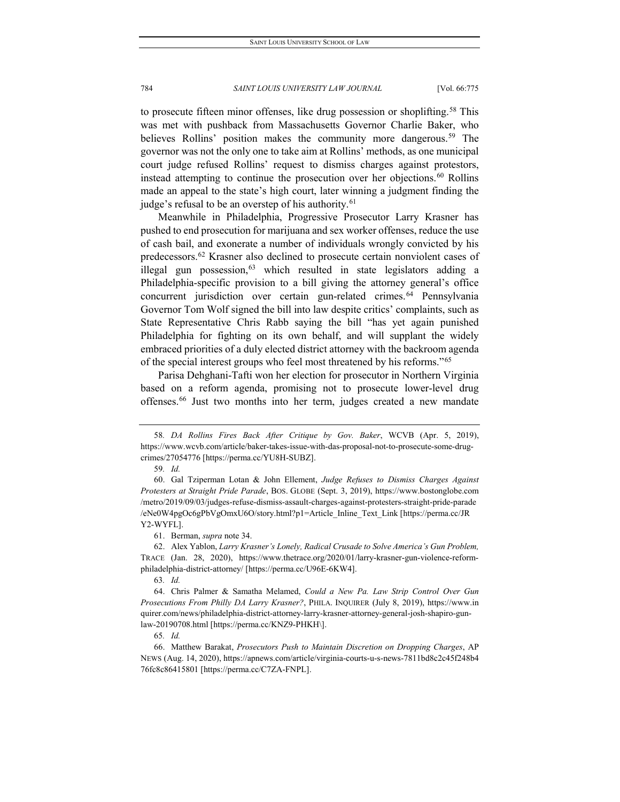to prosecute fifteen minor offenses, like drug possession or shoplifting.<sup>[58](#page-10-0)</sup> This was met with pushback from Massachusetts Governor Charlie Baker, who believes Rollins' position makes the community more dangerous.<sup>[59](#page-10-1)</sup> The governor was not the only one to take aim at Rollins' methods, as one municipal court judge refused Rollins' request to dismiss charges against protestors, instead attempting to continue the prosecution over her objections.<sup>[60](#page-10-2)</sup> Rollins made an appeal to the state's high court, later winning a judgment finding the judge's refusal to be an overstep of his authority.<sup>[61](#page-10-3)</sup>

Meanwhile in Philadelphia, Progressive Prosecutor Larry Krasner has pushed to end prosecution for marijuana and sex worker offenses, reduce the use of cash bail, and exonerate a number of individuals wrongly convicted by his predecessors.[62](#page-10-4) Krasner also declined to prosecute certain nonviolent cases of illegal gun possession,  $63$  which resulted in state legislators adding a Philadelphia-specific provision to a bill giving the attorney general's office concurrent jurisdiction over certain gun-related crimes.<sup>[64](#page-10-6)</sup> Pennsylvania Governor Tom Wolf signed the bill into law despite critics' complaints, such as State Representative Chris Rabb saying the bill "has yet again punished Philadelphia for fighting on its own behalf, and will supplant the widely embraced priorities of a duly elected district attorney with the backroom agenda of the special interest groups who feel most threatened by his reforms."[65](#page-10-7)

Parisa Dehghani-Tafti won her election for prosecutor in Northern Virginia based on a reform agenda, promising not to prosecute lower-level drug offenses.[66](#page-10-8) Just two months into her term, judges created a new mandate

61. Berman, *supra* note 34.

<span id="page-10-4"></span><span id="page-10-3"></span>62. Alex Yablon, *Larry Krasner's Lonely, Radical Crusade to Solve America's Gun Problem,* TRACE (Jan. 28, 2020), https://www.thetrace.org/2020/01/larry-krasner-gun-violence-reformphiladelphia-district-attorney/ [https://perma.cc/U96E-6KW4].

63*. Id.*

<span id="page-10-6"></span><span id="page-10-5"></span>64. Chris Palmer & Samatha Melamed, *Could a New Pa. Law Strip Control Over Gun Prosecutions From Philly DA Larry Krasner?*, PHILA. INQUIRER (July 8, 2019), https://www.in quirer.com/news/philadelphia-district-attorney-larry-krasner-attorney-general-josh-shapiro-gunlaw-20190708.html [https://perma.cc/KNZ9-PHKH\].

65*. Id.*

<span id="page-10-8"></span><span id="page-10-7"></span>66. Matthew Barakat, *Prosecutors Push to Maintain Discretion on Dropping Charges*, AP NEWS (Aug. 14, 2020), https://apnews.com/article/virginia-courts-u-s-news-7811bd8c2c45f248b4 76fc8c86415801 [https://perma.cc/C7ZA-FNPL].

<span id="page-10-0"></span><sup>58</sup>*. DA Rollins Fires Back After Critique by Gov. Baker*, WCVB (Apr. 5, 2019), https://www.wcvb.com/article/baker-takes-issue-with-das-proposal-not-to-prosecute-some-drugcrimes/27054776 [https://perma.cc/YU8H-SUBZ].

<sup>59</sup>*. Id.*

<span id="page-10-2"></span><span id="page-10-1"></span><sup>60.</sup> Gal Tziperman Lotan & John Ellement, *Judge Refuses to Dismiss Charges Against Protesters at Straight Pride Parade*, BOS. GLOBE (Sept. 3, 2019), https://www.bostonglobe.com /metro/2019/09/03/judges-refuse-dismiss-assault-charges-against-protesters-straight-pride-parade /eNe0W4pgOc6gPbVgOmxU6O/story.html?p1=Article\_Inline\_Text\_Link [https://perma.cc/JR Y2-WYFL].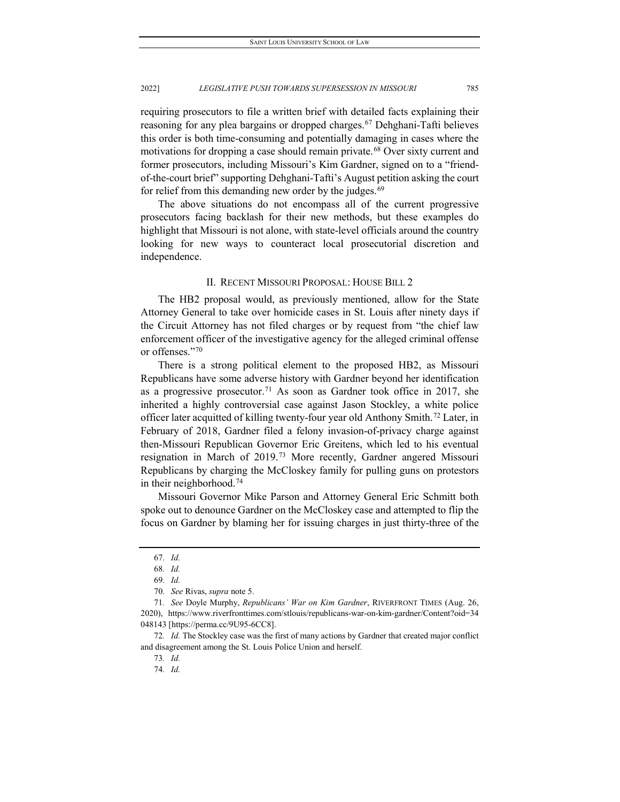requiring prosecutors to file a written brief with detailed facts explaining their reasoning for any plea bargains or dropped charges.<sup>[67](#page-11-0)</sup> Dehghani-Tafti believes this order is both time-consuming and potentially damaging in cases where the motivations for dropping a case should remain private.<sup>[68](#page-11-1)</sup> Over sixty current and former prosecutors, including Missouri's Kim Gardner, signed on to a "friendof-the-court brief" supporting Dehghani-Tafti's August petition asking the court for relief from this demanding new order by the judges.<sup>[69](#page-11-2)</sup>

The above situations do not encompass all of the current progressive prosecutors facing backlash for their new methods, but these examples do highlight that Missouri is not alone, with state-level officials around the country looking for new ways to counteract local prosecutorial discretion and independence.

#### II. RECENT MISSOURI PROPOSAL: HOUSE BILL 2

The HB2 proposal would, as previously mentioned, allow for the State Attorney General to take over homicide cases in St. Louis after ninety days if the Circuit Attorney has not filed charges or by request from "the chief law enforcement officer of the investigative agency for the alleged criminal offense or offenses."[70](#page-11-3)

There is a strong political element to the proposed HB2, as Missouri Republicans have some adverse history with Gardner beyond her identification as a progressive prosecutor.<sup>[71](#page-11-4)</sup> As soon as Gardner took office in 2017, she inherited a highly controversial case against Jason Stockley, a white police officer later acquitted of killing twenty-four year old Anthony Smith.<sup>[72](#page-11-5)</sup> Later, in February of 2018, Gardner filed a felony invasion-of-privacy charge against then-Missouri Republican Governor Eric Greitens, which led to his eventual resignation in March of 2019.[73](#page-11-6) More recently, Gardner angered Missouri Republicans by charging the McCloskey family for pulling guns on protestors in their neighborhood.[74](#page-11-7)

Missouri Governor Mike Parson and Attorney General Eric Schmitt both spoke out to denounce Gardner on the McCloskey case and attempted to flip the focus on Gardner by blaming her for issuing charges in just thirty-three of the

<sup>67</sup>*. Id.*

<sup>68</sup>*. Id.*

<sup>69</sup>*. Id.*

<sup>70</sup>*. See* Rivas, *supra* note 5.

<span id="page-11-4"></span><span id="page-11-3"></span><span id="page-11-2"></span><span id="page-11-1"></span><span id="page-11-0"></span><sup>71</sup>*. See* Doyle Murphy, *Republicans' War on Kim Gardner*, RIVERFRONT TIMES (Aug. 26, 2020), https://www.riverfronttimes.com/stlouis/republicans-war-on-kim-gardner/Content?oid=34 048143 [https://perma.cc/9U95-6CC8].

<span id="page-11-7"></span><span id="page-11-6"></span><span id="page-11-5"></span><sup>72</sup>*. Id.* The Stockley case was the first of many actions by Gardner that created major conflict and disagreement among the St. Louis Police Union and herself.

<sup>73</sup>*. Id.*

<sup>74</sup>*. Id.*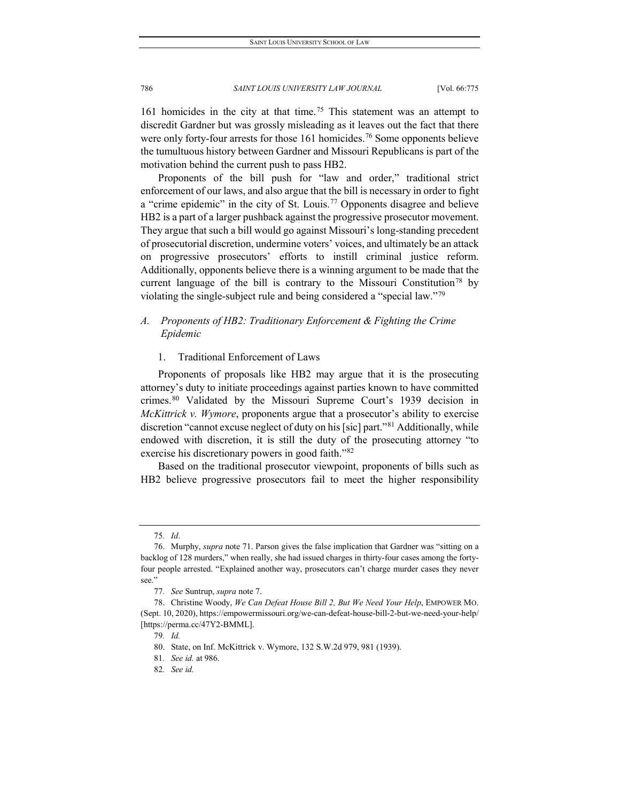161 homicides in the city at that time.[75](#page-12-0) This statement was an attempt to discredit Gardner but was grossly misleading as it leaves out the fact that there were only forty-four arrests for those 161 homicides.<sup>[76](#page-12-1)</sup> Some opponents believe the tumultuous history between Gardner and Missouri Republicans is part of the motivation behind the current push to pass HB2.

Proponents of the bill push for "law and order," traditional strict enforcement of our laws, and also argue that the bill is necessary in order to fight a "crime epidemic" in the city of St. Louis.<sup>[77](#page-12-2)</sup> Opponents disagree and believe HB2 is a part of a larger pushback against the progressive prosecutor movement. They argue that such a bill would go against Missouri's long-standing precedent of prosecutorial discretion, undermine voters' voices, and ultimately be an attack on progressive prosecutors' efforts to instill criminal justice reform. Additionally, opponents believe there is a winning argument to be made that the current language of the bill is contrary to the Missouri Constitution<sup>[78](#page-12-3)</sup> by violating the single-subject rule and being considered a "special law."[79](#page-12-4)

# *A. Proponents of HB2: Traditionary Enforcement & Fighting the Crime Epidemic*

#### 1. Traditional Enforcement of Laws

Proponents of proposals like HB2 may argue that it is the prosecuting attorney's duty to initiate proceedings against parties known to have committed crimes.[80](#page-12-5) Validated by the Missouri Supreme Court's 1939 decision in *McKittrick v. Wymore*, proponents argue that a prosecutor's ability to exercise discretion "cannot excuse neglect of duty on his [sic] part."[81](#page-12-6) Additionally, while endowed with discretion, it is still the duty of the prosecuting attorney "to exercise his discretionary powers in good faith."<sup>[82](#page-12-7)</sup>

Based on the traditional prosecutor viewpoint, proponents of bills such as HB2 believe progressive prosecutors fail to meet the higher responsibility

<sup>75</sup>*. Id*.

<span id="page-12-1"></span><span id="page-12-0"></span><sup>76.</sup> Murphy, *supra* note 71. Parson gives the false implication that Gardner was "sitting on a backlog of 128 murders," when really, she had issued charges in thirty-four cases among the fortyfour people arrested. "Explained another way, prosecutors can't charge murder cases they never see."

<sup>77</sup>*. See* Suntrup, *supra* note 7.

<span id="page-12-6"></span><span id="page-12-5"></span><span id="page-12-4"></span><span id="page-12-3"></span><span id="page-12-2"></span><sup>78.</sup> Christine Woody, *We Can Defeat House Bill 2, But We Need Your Help*, EMPOWER MO. (Sept. 10, 2020), https://empowermissouri.org/we-can-defeat-house-bill-2-but-we-need-your-help/ [https://perma.cc/47Y2-BMML].

<sup>79</sup>*. Id.*

<sup>80.</sup> State, on Inf. McKittrick v. Wymore, 132 S.W.2d 979, 981 (1939).

<sup>81</sup>*. See id.* at 986.

<span id="page-12-7"></span><sup>82</sup>*. See id.*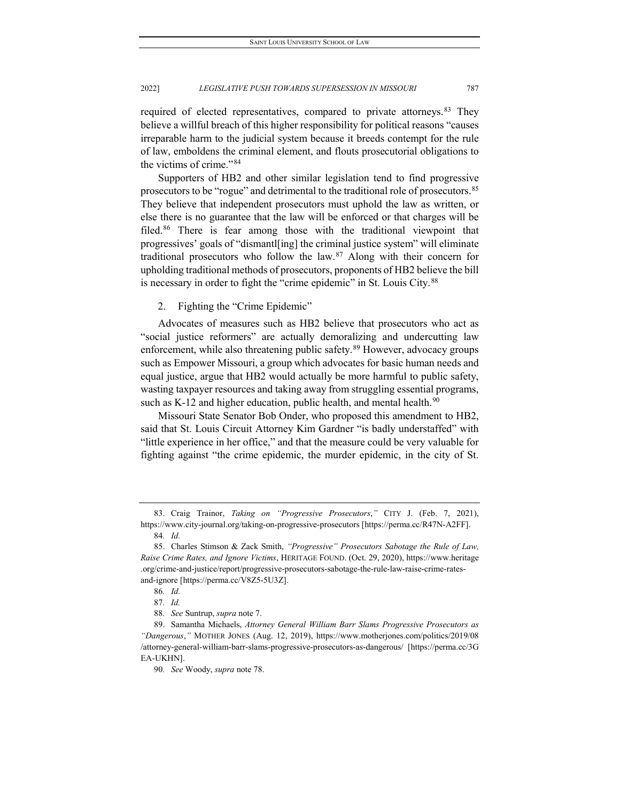required of elected representatives, compared to private attorneys.<sup>[83](#page-13-0)</sup> They believe a willful breach of this higher responsibility for political reasons "causes irreparable harm to the judicial system because it breeds contempt for the rule of law, emboldens the criminal element, and flouts prosecutorial obligations to the victims of crime."[84](#page-13-1)

Supporters of HB2 and other similar legislation tend to find progressive prosecutors to be "rogue" and detrimental to the traditional role of prosecutors.[85](#page-13-2) They believe that independent prosecutors must uphold the law as written, or else there is no guarantee that the law will be enforced or that charges will be filed.[86](#page-13-3) There is fear among those with the traditional viewpoint that progressives' goals of "dismantl[ing] the criminal justice system" will eliminate traditional prosecutors who follow the law.[87](#page-13-4) Along with their concern for upholding traditional methods of prosecutors, proponents of HB2 believe the bill is necessary in order to fight the "crime epidemic" in St. Louis City.<sup>[88](#page-13-5)</sup>

### 2. Fighting the "Crime Epidemic"

Advocates of measures such as HB2 believe that prosecutors who act as "social justice reformers" are actually demoralizing and undercutting law enforcement, while also threatening public safety.<sup>[89](#page-13-6)</sup> However, advocacy groups such as Empower Missouri, a group which advocates for basic human needs and equal justice, argue that HB2 would actually be more harmful to public safety, wasting taxpayer resources and taking away from struggling essential programs, such as K-12 and higher education, public health, and mental health. $90$ 

Missouri State Senator Bob Onder, who proposed this amendment to HB2, said that St. Louis Circuit Attorney Kim Gardner "is badly understaffed" with "little experience in her office," and that the measure could be very valuable for fighting against "the crime epidemic, the murder epidemic, in the city of St.

<span id="page-13-0"></span><sup>83.</sup> Craig Trainor, *Taking on "Progressive Prosecutors*,*"* CITY J. (Feb. 7, 2021), https://www.city-journal.org/taking-on-progressive-prosecutors [https://perma.cc/R47N-A2FF].

<sup>84</sup>*. Id.*

<span id="page-13-2"></span><span id="page-13-1"></span><sup>85.</sup> Charles Stimson & Zack Smith, *"Progressive" Prosecutors Sabotage the Rule of Law, Raise Crime Rates, and Ignore Victims*, HERITAGE FOUND. (Oct. 29, 2020), https://www.heritage .org/crime-and-justice/report/progressive-prosecutors-sabotage-the-rule-law-raise-crime-ratesand-ignore [https://perma.cc/V8Z5-5U3Z].

<sup>86</sup>*. Id.*

<sup>87</sup>*. Id.*

<sup>88</sup>*. See* Suntrup, *supra* note 7.

<span id="page-13-7"></span><span id="page-13-6"></span><span id="page-13-5"></span><span id="page-13-4"></span><span id="page-13-3"></span><sup>89.</sup> Samantha Michaels, *Attorney General William Barr Slams Progressive Prosecutors as "Dangerous*,*"* MOTHER JONES (Aug. 12, 2019), https://www.motherjones.com/politics/2019/08 /attorney-general-william-barr-slams-progressive-prosecutors-as-dangerous/ [https://perma.cc/3G EA-UKHN].

<sup>90</sup>*. See* Woody, *supra* note 78.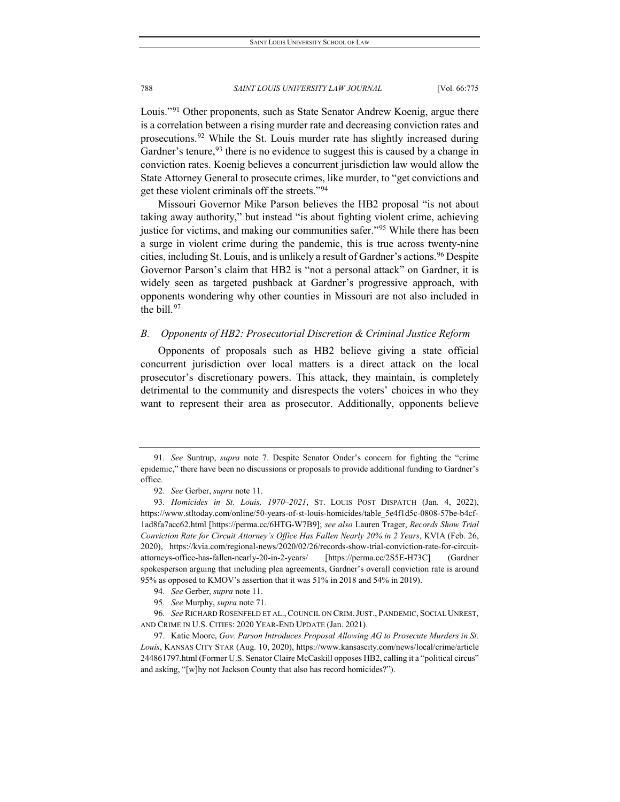Louis."<sup>[91](#page-14-0)</sup> Other proponents, such as State Senator Andrew Koenig, argue there is a correlation between a rising murder rate and decreasing conviction rates and prosecutions.[92](#page-14-1) While the St. Louis murder rate has slightly increased during Gardner's tenure,  $93$  there is no evidence to suggest this is caused by a change in conviction rates. Koenig believes a concurrent jurisdiction law would allow the State Attorney General to prosecute crimes, like murder, to "get convictions and get these violent criminals off the streets."[94](#page-14-3)

Missouri Governor Mike Parson believes the HB2 proposal "is not about taking away authority," but instead "is about fighting violent crime, achieving justice for victims, and making our communities safer."<sup>[95](#page-14-4)</sup> While there has been a surge in violent crime during the pandemic, this is true across twenty-nine cities, including St. Louis, and is unlikely a result of Gardner's actions.<sup>[96](#page-14-5)</sup> Despite Governor Parson's claim that HB2 is "not a personal attack" on Gardner, it is widely seen as targeted pushback at Gardner's progressive approach, with opponents wondering why other counties in Missouri are not also included in the bill. $97$ 

#### *B. Opponents of HB2: Prosecutorial Discretion & Criminal Justice Reform*

Opponents of proposals such as HB2 believe giving a state official concurrent jurisdiction over local matters is a direct attack on the local prosecutor's discretionary powers. This attack, they maintain, is completely detrimental to the community and disrespects the voters' choices in who they want to represent their area as prosecutor. Additionally, opponents believe

<span id="page-14-0"></span><sup>91</sup>*. See* Suntrup, *supra* note 7. Despite Senator Onder's concern for fighting the "crime epidemic," there have been no discussions or proposals to provide additional funding to Gardner's office.

<sup>92</sup>*. See* Gerber, *supra* note 11.

<span id="page-14-2"></span><span id="page-14-1"></span><sup>93</sup>*. Homicides in St. Louis, 1970–2021*, ST. LOUIS POST DISPATCH (Jan. 4, 2022), https://www.stltoday.com/online/50-years-of-st-louis-homicides/table\_5e4f1d5c-0808-57be-b4cf-1ad8fa7acc62.html [https://perma.cc/6HTG-W7B9]; *see also* Lauren Trager, *Records Show Trial Conviction Rate for Circuit Attorney's Office Has Fallen Nearly 20% in 2 Years*, KVIA (Feb. 26, 2020), https://kvia.com/regional-news/2020/02/26/records-show-trial-conviction-rate-for-circuitattorneys-office-has-fallen-nearly-20-in-2-years/ [https://perma.cc/2S5E-H73C] (Gardner spokesperson arguing that including plea agreements, Gardner's overall conviction rate is around 95% as opposed to KMOV's assertion that it was 51% in 2018 and 54% in 2019).

<sup>94</sup>*. See* Gerber, *supra* note 11.

<sup>95</sup>*. See* Murphy, *supra* note 71.

<span id="page-14-5"></span><span id="page-14-4"></span><span id="page-14-3"></span><sup>96</sup>*. See* RICHARD ROSENFELD ET AL., COUNCIL ON CRIM.JUST., PANDEMIC, SOCIAL UNREST, AND CRIME IN U.S. CITIES: 2020 YEAR-END UPDATE (Jan. 2021).

<span id="page-14-6"></span><sup>97.</sup> Katie Moore, *Gov. Parson Introduces Proposal Allowing AG to Prosecute Murders in St. Louis*, KANSAS CITY STAR (Aug. 10, 2020), https://www.kansascity.com/news/local/crime/article 244861797.html (Former U.S. Senator Claire McCaskill opposes HB2, calling it a "political circus" and asking, "[w]hy not Jackson County that also has record homicides?").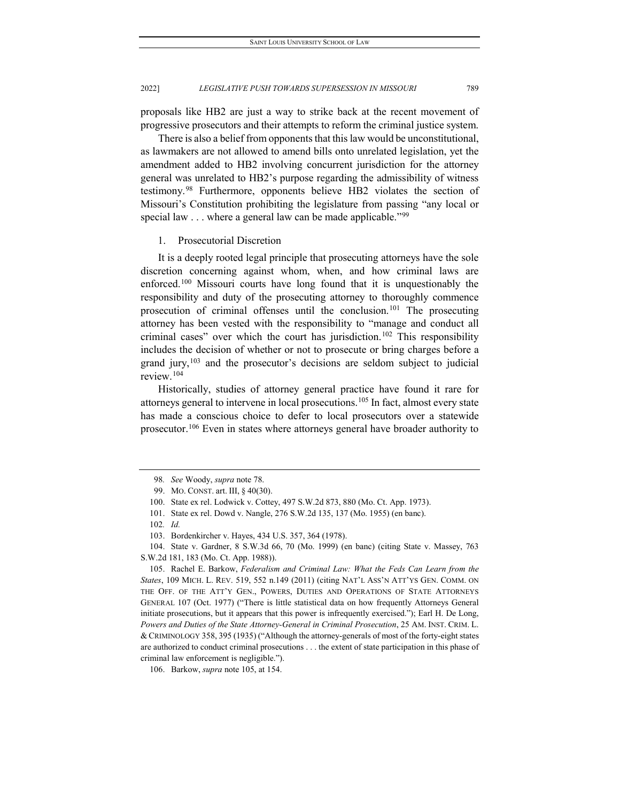proposals like HB2 are just a way to strike back at the recent movement of progressive prosecutors and their attempts to reform the criminal justice system.

There is also a belief from opponents that this law would be unconstitutional, as lawmakers are not allowed to amend bills onto unrelated legislation, yet the amendment added to HB2 involving concurrent jurisdiction for the attorney general was unrelated to HB2's purpose regarding the admissibility of witness testimony.[98](#page-15-0) Furthermore, opponents believe HB2 violates the section of Missouri's Constitution prohibiting the legislature from passing "any local or special law . . . where a general law can be made applicable."[99](#page-15-1)

#### 1. Prosecutorial Discretion

It is a deeply rooted legal principle that prosecuting attorneys have the sole discretion concerning against whom, when, and how criminal laws are enforced.[100](#page-15-2) Missouri courts have long found that it is unquestionably the responsibility and duty of the prosecuting attorney to thoroughly commence prosecution of criminal offenses until the conclusion.<sup>[101](#page-15-3)</sup> The prosecuting attorney has been vested with the responsibility to "manage and conduct all criminal cases" over which the court has jurisdiction.<sup>[102](#page-15-4)</sup> This responsibility includes the decision of whether or not to prosecute or bring charges before a grand jury,  $103$  and the prosecutor's decisions are seldom subject to judicial review.[104](#page-15-6)

Historically, studies of attorney general practice have found it rare for attorneys general to intervene in local prosecutions.[105](#page-15-7) In fact, almost every state has made a conscious choice to defer to local prosecutors over a statewide prosecutor.<sup>106</sup> Even in states where attorneys general have broader authority to

<span id="page-15-6"></span><span id="page-15-5"></span><span id="page-15-4"></span><span id="page-15-3"></span><span id="page-15-2"></span>104. State v. Gardner, 8 S.W.3d 66, 70 (Mo. 1999) (en banc) (citing State v. Massey, 763 S.W.2d 181, 183 (Mo. Ct. App. 1988)).

<span id="page-15-0"></span><sup>98</sup>*. See* Woody, *supra* note 78.

<sup>99.</sup> MO. CONST. art. III, § 40(30).

<span id="page-15-1"></span><sup>100.</sup> State ex rel. Lodwick v. Cottey, 497 S.W.2d 873, 880 (Mo. Ct. App. 1973).

<sup>101.</sup> State ex rel. Dowd v. Nangle, 276 S.W.2d 135, 137 (Mo. 1955) (en banc).

<sup>102</sup>*. Id.*

<sup>103.</sup> Bordenkircher v. Hayes, 434 U.S. 357, 364 (1978).

<span id="page-15-7"></span><sup>105.</sup> Rachel E. Barkow, *Federalism and Criminal Law: What the Feds Can Learn from the States*, 109 MICH. L. REV. 519, 552 n.149 (2011) (citing NAT'L ASS'N ATT'YS GEN. COMM. ON THE OFF. OF THE ATT'Y GEN., POWERS, DUTIES AND OPERATIONS OF STATE ATTORNEYS GENERAL 107 (Oct. 1977) ("There is little statistical data on how frequently Attorneys General initiate prosecutions, but it appears that this power is infrequently exercised."); Earl H. De Long, *Powers and Duties of the State Attorney-General in Criminal Prosecution*, 25 AM. INST. CRIM. L. & CRIMINOLOGY 358, 395 (1935) ("Although the attorney-generals of most of the forty-eight states are authorized to conduct criminal prosecutions . . . the extent of state participation in this phase of criminal law enforcement is negligible.").

<span id="page-15-8"></span><sup>106.</sup> Barkow, *supra* note 105, at 154.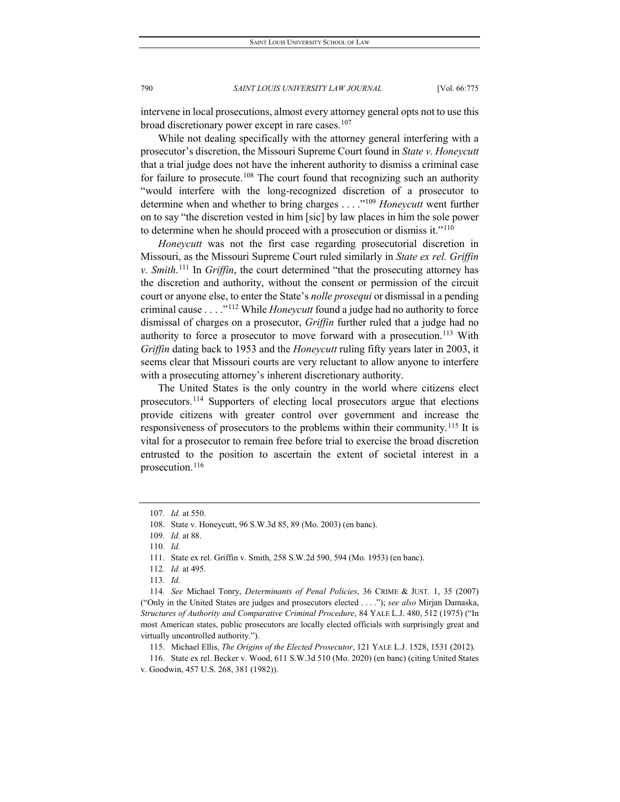intervene in local prosecutions, almost every attorney general opts not to use this broad discretionary power except in rare cases. $107$ 

While not dealing specifically with the attorney general interfering with a prosecutor's discretion, the Missouri Supreme Court found in *State v. Honeycutt* that a trial judge does not have the inherent authority to dismiss a criminal case for failure to prosecute.<sup>108</sup> The court found that recognizing such an authority "would interfere with the long-recognized discretion of a prosecutor to determine when and whether to bring charges . . . ."[109](#page-16-2) *Honeycutt* went further on to say "the discretion vested in him [sic] by law places in him the sole power to determine when he should proceed with a prosecution or dismiss it."[110](#page-16-3)

*Honeycutt* was not the first case regarding prosecutorial discretion in Missouri, as the Missouri Supreme Court ruled similarly in *State ex rel. Griffin v. Smith*. [111](#page-16-4) In *Griffin*, the court determined "that the prosecuting attorney has the discretion and authority, without the consent or permission of the circuit court or anyone else, to enter the State's *nolle prosequi* or dismissal in a pending criminal cause . . . ."[112](#page-16-5) While *Honeycutt* found a judge had no authority to force dismissal of charges on a prosecutor, *Griffin* further ruled that a judge had no authority to force a prosecutor to move forward with a prosecution.<sup>[113](#page-16-6)</sup> With *Griffin* dating back to 1953 and the *Honeycutt* ruling fifty years later in 2003, it seems clear that Missouri courts are very reluctant to allow anyone to interfere with a prosecuting attorney's inherent discretionary authority.

The United States is the only country in the world where citizens elect prosecutors.<sup>[114](#page-16-7)</sup> Supporters of electing local prosecutors argue that elections provide citizens with greater control over government and increase the responsiveness of prosecutors to the problems within their community.[115](#page-16-8) It is vital for a prosecutor to remain free before trial to exercise the broad discretion entrusted to the position to ascertain the extent of societal interest in a prosecution.<sup>[116](#page-16-9)</sup>

115. Michael Ellis, *The Origins of the Elected Prosecutor*, 121 YALE L.J. 1528, 1531 (2012).

<span id="page-16-9"></span><span id="page-16-8"></span>116. State ex rel. Becker v. Wood, 611 S.W.3d 510 (Mo. 2020) (en banc) (citing United States v. Goodwin, 457 U.S. 268, 381 (1982)).

<sup>107</sup>*. Id.* at 550.

<span id="page-16-1"></span><span id="page-16-0"></span><sup>108.</sup> State v. Honeycutt, 96 S.W.3d 85, 89 (Mo. 2003) (en banc).

<span id="page-16-2"></span><sup>109</sup>*. Id.* at 88.

<sup>110</sup>*. Id.*

<sup>111.</sup> State ex rel. Griffin v. Smith, 258 S.W.2d 590, 594 (Mo. 1953) (en banc).

<sup>112</sup>*. Id.* at 495.

<sup>113</sup>*. Id.*

<span id="page-16-7"></span><span id="page-16-6"></span><span id="page-16-5"></span><span id="page-16-4"></span><span id="page-16-3"></span><sup>114</sup>*. See* Michael Tonry, *Determinants of Penal Policies*, 36 CRIME & JUST. 1, 35 (2007) ("Only in the United States are judges and prosecutors elected . . . ."); *see also* Mirjan Damaska, *Structures of Authority and Comparative Criminal Procedure*, 84 YALE L.J. 480, 512 (1975) ("In most American states, public prosecutors are locally elected officials with surprisingly great and virtually uncontrolled authority.").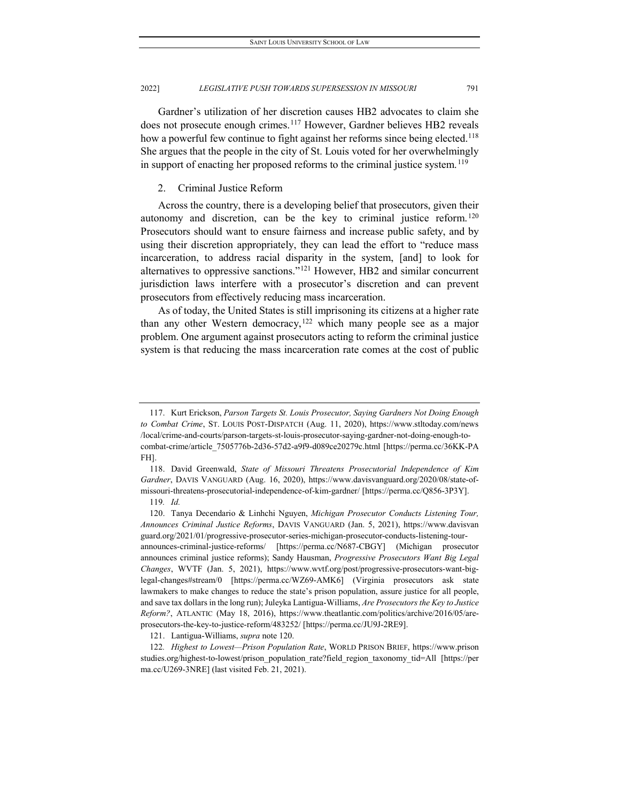Gardner's utilization of her discretion causes HB2 advocates to claim she does not prosecute enough crimes.<sup>[117](#page-17-0)</sup> However, Gardner believes HB2 reveals how a powerful few continue to fight against her reforms since being elected.<sup>118</sup> She argues that the people in the city of St. Louis voted for her overwhelmingly in support of enacting her proposed reforms to the criminal justice system.<sup>[119](#page-17-2)</sup>

#### 2. Criminal Justice Reform

Across the country, there is a developing belief that prosecutors, given their autonomy and discretion, can be the key to criminal justice reform.<sup>[120](#page-17-3)</sup> Prosecutors should want to ensure fairness and increase public safety, and by using their discretion appropriately, they can lead the effort to "reduce mass incarceration, to address racial disparity in the system, [and] to look for alternatives to oppressive sanctions."[121](#page-17-4) However, HB2 and similar concurrent jurisdiction laws interfere with a prosecutor's discretion and can prevent prosecutors from effectively reducing mass incarceration.

As of today, the United States is still imprisoning its citizens at a higher rate than any other Western democracy,<sup>[122](#page-17-5)</sup> which many people see as a major problem. One argument against prosecutors acting to reform the criminal justice system is that reducing the mass incarceration rate comes at the cost of public

<span id="page-17-0"></span><sup>117.</sup> Kurt Erickson, *Parson Targets St. Louis Prosecutor, Saying Gardners Not Doing Enough to Combat Crime*, ST. LOUIS POST-DISPATCH (Aug. 11, 2020), https://www.stltoday.com/news /local/crime-and-courts/parson-targets-st-louis-prosecutor-saying-gardner-not-doing-enough-tocombat-crime/article\_7505776b-2d36-57d2-a9f9-d089ce20279c.html [https://perma.cc/36KK-PA FH].

<span id="page-17-1"></span><sup>118.</sup> David Greenwald, *State of Missouri Threatens Prosecutorial Independence of Kim Gardner*, DAVIS VANGUARD (Aug. 16, 2020), https://www.davisvanguard.org/2020/08/state-ofmissouri-threatens-prosecutorial-independence-of-kim-gardner/ [https://perma.cc/Q856-3P3Y].

<sup>119</sup>*. Id.*

<span id="page-17-3"></span><span id="page-17-2"></span><sup>120.</sup> Tanya Decendario & Linhchi Nguyen, *Michigan Prosecutor Conducts Listening Tour, Announces Criminal Justice Reforms*, DAVIS VANGUARD (Jan. 5, 2021), https://www.davisvan guard.org/2021/01/progressive-prosecutor-series-michigan-prosecutor-conducts-listening-tourannounces-criminal-justice-reforms/ [https://perma.cc/N687-CBGY] (Michigan prosecutor announces criminal justice reforms); Sandy Hausman, *Progressive Prosecutors Want Big Legal Changes*, WVTF (Jan. 5, 2021), https://www.wvtf.org/post/progressive-prosecutors-want-biglegal-changes#stream/0 [https://perma.cc/WZ69-AMK6] (Virginia prosecutors ask state lawmakers to make changes to reduce the state's prison population, assure justice for all people, and save tax dollars in the long run); Juleyka Lantigua-Williams, *Are Prosecutors the Key to Justice Reform?*, ATLANTIC (May 18, 2016), https://www.theatlantic.com/politics/archive/2016/05/areprosecutors-the-key-to-justice-reform/483252/ [https://perma.cc/JU9J-2RE9].

<sup>121.</sup> Lantigua-Williams, *supra* note 120.

<span id="page-17-5"></span><span id="page-17-4"></span><sup>122</sup>*. Highest to Lowest—Prison Population Rate*, WORLD PRISON BRIEF, https://www.prison studies.org/highest-to-lowest/prison\_population\_rate?field\_region\_taxonomy\_tid=All [https://per ma.cc/U269-3NRE] (last visited Feb. 21, 2021).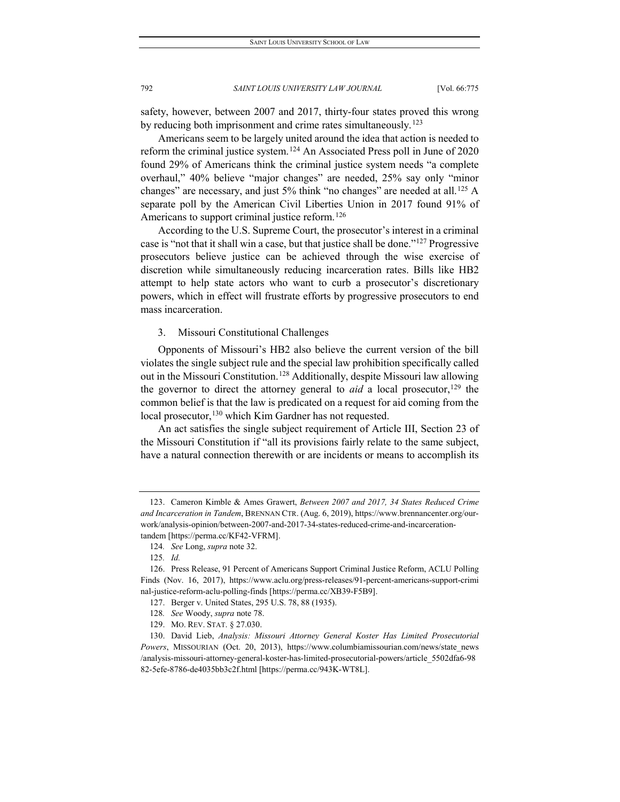safety, however, between 2007 and 2017, thirty-four states proved this wrong by reducing both imprisonment and crime rates simultaneously.<sup>[123](#page-18-0)</sup>

Americans seem to be largely united around the idea that action is needed to reform the criminal justice system.[124](#page-18-1) An Associated Press poll in June of 2020 found 29% of Americans think the criminal justice system needs "a complete overhaul," 40% believe "major changes" are needed, 25% say only "minor changes" are necessary, and just 5% think "no changes" are needed at all.<sup>[125](#page-18-2)</sup> A separate poll by the American Civil Liberties Union in 2017 found 91% of Americans to support criminal justice reform.<sup>[126](#page-18-3)</sup>

According to the U.S. Supreme Court, the prosecutor's interest in a criminal case is "not that it shall win a case, but that justice shall be done."[127](#page-18-4) Progressive prosecutors believe justice can be achieved through the wise exercise of discretion while simultaneously reducing incarceration rates. Bills like HB2 attempt to help state actors who want to curb a prosecutor's discretionary powers, which in effect will frustrate efforts by progressive prosecutors to end mass incarceration.

3. Missouri Constitutional Challenges

Opponents of Missouri's HB2 also believe the current version of the bill violates the single subject rule and the special law prohibition specifically called out in the Missouri Constitution.[128](#page-18-5) Additionally, despite Missouri law allowing the governor to direct the attorney general to *aid* a local prosecutor,<sup>[129](#page-18-6)</sup> the common belief is that the law is predicated on a request for aid coming from the local prosecutor,<sup>130</sup> which Kim Gardner has not requested.

An act satisfies the single subject requirement of Article III, Section 23 of the Missouri Constitution if "all its provisions fairly relate to the same subject, have a natural connection therewith or are incidents or means to accomplish its

<span id="page-18-0"></span><sup>123.</sup> Cameron Kimble & Ames Grawert, *Between 2007 and 2017, 34 States Reduced Crime and Incarceration in Tandem*, BRENNAN CTR. (Aug. 6, 2019), https://www.brennancenter.org/ourwork/analysis-opinion/between-2007-and-2017-34-states-reduced-crime-and-incarcerationtandem [https://perma.cc/KF42-VFRM].

<sup>124</sup>*. See* Long, *supra* note 32.

<sup>125</sup>*. Id.*

<span id="page-18-4"></span><span id="page-18-3"></span><span id="page-18-2"></span><span id="page-18-1"></span><sup>126.</sup> Press Release, 91 Percent of Americans Support Criminal Justice Reform, ACLU Polling Finds (Nov. 16, 2017), https://www.aclu.org/press-releases/91-percent-americans-support-crimi nal-justice-reform-aclu-polling-finds [https://perma.cc/XB39-F5B9].

<sup>127.</sup> Berger v. United States, 295 U.S. 78, 88 (1935).

<sup>128</sup>*. See* Woody, *supra* note 78.

<sup>129.</sup> MO. REV. STAT. § 27.030.

<span id="page-18-7"></span><span id="page-18-6"></span><span id="page-18-5"></span><sup>130.</sup> David Lieb, *Analysis: Missouri Attorney General Koster Has Limited Prosecutorial Powers*, MISSOURIAN (Oct. 20, 2013), https://www.columbiamissourian.com/news/state\_news /analysis-missouri-attorney-general-koster-has-limited-prosecutorial-powers/article\_5502dfa6-98 82-5efe-8786-de4035bb3c2f.html [https://perma.cc/943K-WT8L].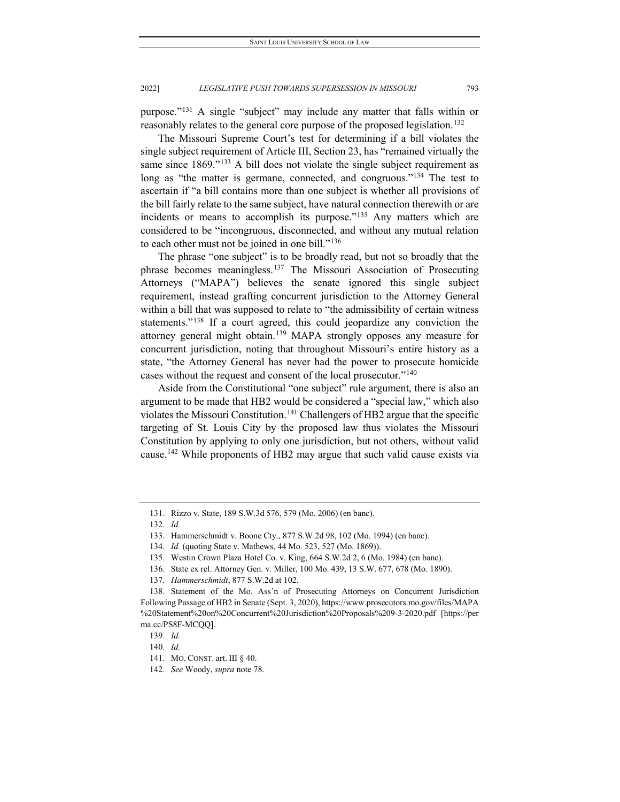purpose."[131](#page-19-0) A single "subject" may include any matter that falls within or reasonably relates to the general core purpose of the proposed legislation.<sup>[132](#page-19-1)</sup>

The Missouri Supreme Court's test for determining if a bill violates the single subject requirement of Article III, Section 23, has "remained virtually the same since 1869."<sup>[133](#page-19-2)</sup> A bill does not violate the single subject requirement as long as "the matter is germane, connected, and congruous."<sup>[134](#page-19-3)</sup> The test to ascertain if "a bill contains more than one subject is whether all provisions of the bill fairly relate to the same subject, have natural connection therewith or are incidents or means to accomplish its purpose."[135](#page-19-4) Any matters which are considered to be "incongruous, disconnected, and without any mutual relation to each other must not be joined in one bill."<sup>[136](#page-19-5)</sup>

The phrase "one subject" is to be broadly read, but not so broadly that the phrase becomes meaningless.[137](#page-19-6) The Missouri Association of Prosecuting Attorneys ("MAPA") believes the senate ignored this single subject requirement, instead grafting concurrent jurisdiction to the Attorney General within a bill that was supposed to relate to "the admissibility of certain witness statements."<sup>[138](#page-19-7)</sup> If a court agreed, this could jeopardize any conviction the attorney general might obtain.[139](#page-19-8) MAPA strongly opposes any measure for concurrent jurisdiction, noting that throughout Missouri's entire history as a state, "the Attorney General has never had the power to prosecute homicide cases without the request and consent of the local prosecutor."[140](#page-19-9)

Aside from the Constitutional "one subject" rule argument, there is also an argument to be made that HB2 would be considered a "special law," which also violates the Missouri Constitution.<sup>[141](#page-19-10)</sup> Challengers of HB2 argue that the specific targeting of St. Louis City by the proposed law thus violates the Missouri Constitution by applying to only one jurisdiction, but not others, without valid cause.[142](#page-19-11) While proponents of HB2 may argue that such valid cause exists via

<span id="page-19-0"></span><sup>131.</sup> Rizzo v. State, 189 S.W.3d 576, 579 (Mo. 2006) (en banc).

<span id="page-19-1"></span><sup>132</sup>*. Id.*

<span id="page-19-2"></span><sup>133.</sup> Hammerschmidt v. Boone Cty., 877 S.W.2d 98, 102 (Mo. 1994) (en banc).

<sup>134</sup>*. Id.* (quoting State v. Mathews, 44 Mo. 523, 527 (Mo. 1869)).

<sup>135.</sup> Westin Crown Plaza Hotel Co. v. King, 664 S.W.2d 2, 6 (Mo. 1984) (en banc).

<sup>136.</sup> State ex rel. Attorney Gen. v. Miller, 100 Mo. 439, 13 S.W. 677, 678 (Mo. 1890).

<sup>137</sup>*. Hammerschmidt*, 877 S.W.2d at 102.

<span id="page-19-8"></span><span id="page-19-7"></span><span id="page-19-6"></span><span id="page-19-5"></span><span id="page-19-4"></span><span id="page-19-3"></span><sup>138.</sup> Statement of the Mo. Ass'n of Prosecuting Attorneys on Concurrent Jurisdiction Following Passage of HB2 in Senate (Sept. 3, 2020), https://www.prosecutors.mo.gov/files/MAPA %20Statement%20on%20Concurrent%20Jurisdiction%20Proposals%209-3-2020.pdf [https://per ma.cc/PS8F-MCQQ].

<sup>139</sup>*. Id.*

<span id="page-19-9"></span><sup>140</sup>*. Id.*

<span id="page-19-10"></span><sup>141.</sup> MO. CONST. art. III § 40.

<span id="page-19-11"></span><sup>142</sup>*. See* Woody, *supra* note 78.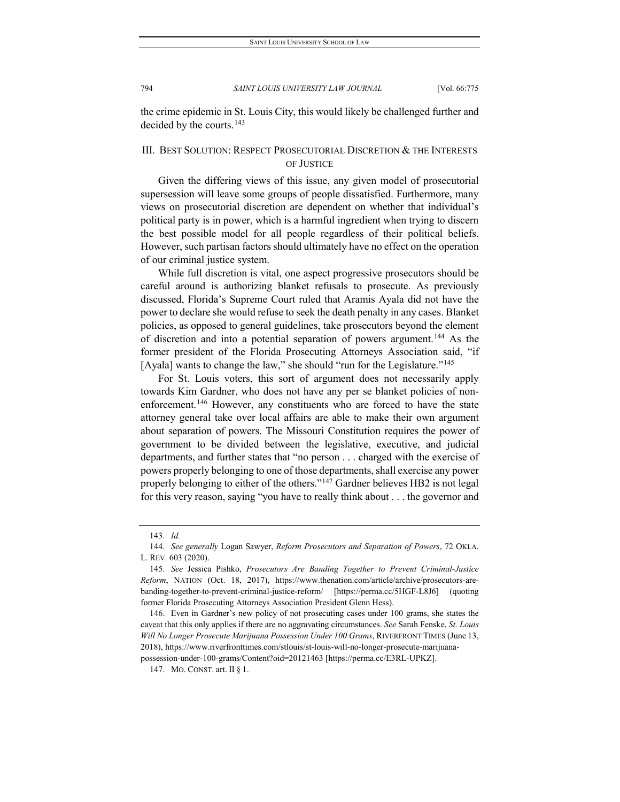the crime epidemic in St. Louis City, this would likely be challenged further and decided by the courts.<sup>[143](#page-20-0)</sup>

## III. BEST SOLUTION: RESPECT PROSECUTORIAL DISCRETION & THE INTERESTS OF JUSTICE

Given the differing views of this issue, any given model of prosecutorial supersession will leave some groups of people dissatisfied. Furthermore, many views on prosecutorial discretion are dependent on whether that individual's political party is in power, which is a harmful ingredient when trying to discern the best possible model for all people regardless of their political beliefs. However, such partisan factors should ultimately have no effect on the operation of our criminal justice system.

While full discretion is vital, one aspect progressive prosecutors should be careful around is authorizing blanket refusals to prosecute. As previously discussed, Florida's Supreme Court ruled that Aramis Ayala did not have the power to declare she would refuse to seek the death penalty in any cases. Blanket policies, as opposed to general guidelines, take prosecutors beyond the element of discretion and into a potential separation of powers argument.[144](#page-20-1) As the former president of the Florida Prosecuting Attorneys Association said, "if [Ayala] wants to change the law," she should "run for the Legislature."<sup>[145](#page-20-2)</sup>

For St. Louis voters, this sort of argument does not necessarily apply towards Kim Gardner, who does not have any per se blanket policies of non-enforcement.<sup>[146](#page-20-3)</sup> However, any constituents who are forced to have the state attorney general take over local affairs are able to make their own argument about separation of powers. The Missouri Constitution requires the power of government to be divided between the legislative, executive, and judicial departments, and further states that "no person . . . charged with the exercise of powers properly belonging to one of those departments, shall exercise any power properly belonging to either of the others."[147](#page-20-4) Gardner believes HB2 is not legal for this very reason, saying "you have to really think about . . . the governor and

<sup>143</sup>*. Id.*

<span id="page-20-1"></span><span id="page-20-0"></span><sup>144</sup>*. See generally* Logan Sawyer, *Reform Prosecutors and Separation of Powers*, 72 OKLA. L. REV. 603 (2020).

<span id="page-20-2"></span><sup>145</sup>*. See* Jessica Pishko, *Prosecutors Are Banding Together to Prevent Criminal-Justice Reform*, NATION (Oct. 18, 2017), https://www.thenation.com/article/archive/prosecutors-arebanding-together-to-prevent-criminal-justice-reform/ [https://perma.cc/5HGF-L8J6] (quoting former Florida Prosecuting Attorneys Association President Glenn Hess).

<span id="page-20-3"></span><sup>146.</sup> Even in Gardner's new policy of not prosecuting cases under 100 grams, she states the caveat that this only applies if there are no aggravating circumstances. *See* Sarah Fenske, *St. Louis Will No Longer Prosecute Marijuana Possession Under 100 Grams*, RIVERFRONT TIMES (June 13, 2018), https://www.riverfronttimes.com/stlouis/st-louis-will-no-longer-prosecute-marijuanapossession-under-100-grams/Content?oid=20121463 [https://perma.cc/E3RL-UPKZ].

<span id="page-20-4"></span><sup>147.</sup> MO. CONST. art. II § 1.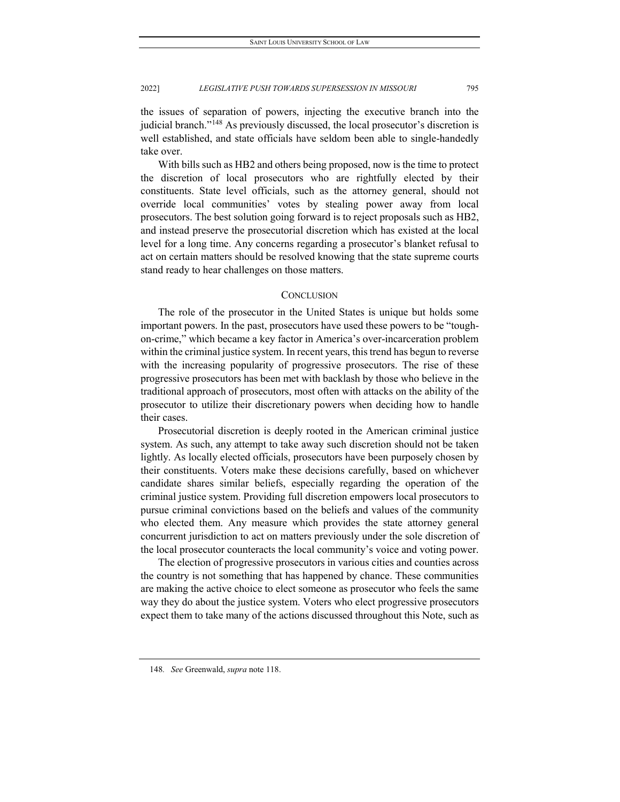the issues of separation of powers, injecting the executive branch into the judicial branch.["148](#page-21-0) As previously discussed, the local prosecutor's discretion is well established, and state officials have seldom been able to single-handedly take over.

With bills such as HB2 and others being proposed, now is the time to protect the discretion of local prosecutors who are rightfully elected by their constituents. State level officials, such as the attorney general, should not override local communities' votes by stealing power away from local prosecutors. The best solution going forward is to reject proposals such as HB2, and instead preserve the prosecutorial discretion which has existed at the local level for a long time. Any concerns regarding a prosecutor's blanket refusal to act on certain matters should be resolved knowing that the state supreme courts stand ready to hear challenges on those matters.

#### **CONCLUSION**

The role of the prosecutor in the United States is unique but holds some important powers. In the past, prosecutors have used these powers to be "toughon-crime," which became a key factor in America's over-incarceration problem within the criminal justice system. In recent years, this trend has begun to reverse with the increasing popularity of progressive prosecutors. The rise of these progressive prosecutors has been met with backlash by those who believe in the traditional approach of prosecutors, most often with attacks on the ability of the prosecutor to utilize their discretionary powers when deciding how to handle their cases.

Prosecutorial discretion is deeply rooted in the American criminal justice system. As such, any attempt to take away such discretion should not be taken lightly. As locally elected officials, prosecutors have been purposely chosen by their constituents. Voters make these decisions carefully, based on whichever candidate shares similar beliefs, especially regarding the operation of the criminal justice system. Providing full discretion empowers local prosecutors to pursue criminal convictions based on the beliefs and values of the community who elected them. Any measure which provides the state attorney general concurrent jurisdiction to act on matters previously under the sole discretion of the local prosecutor counteracts the local community's voice and voting power.

The election of progressive prosecutors in various cities and counties across the country is not something that has happened by chance. These communities are making the active choice to elect someone as prosecutor who feels the same way they do about the justice system. Voters who elect progressive prosecutors expect them to take many of the actions discussed throughout this Note, such as

<span id="page-21-0"></span><sup>148</sup>*. See* Greenwald, *supra* note 118.